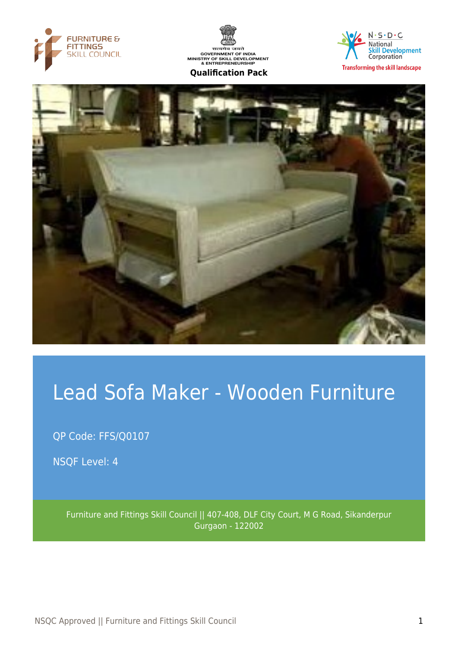





**Transforming the skill landscape** 



# Lead Sofa Maker - Wooden Furniture

QP Code: FFS/Q0107

NSQF Level: 4

Furniture and Fittings Skill Council || 407-408, DLF City Court, M G Road, Sikanderpur Gurgaon - 122002

NSQC Approved || Furniture and Fittings Skill Council 1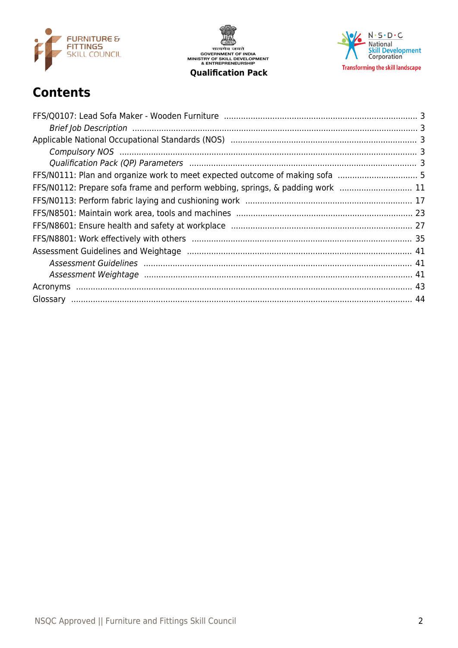

सत्यमेव जयते<br>GOVERNMENT OF INDIA<br>MINISTRY OF SKILL DEVELOPMENT<br>& ENTREPRENEURSHIP **Qualification Pack** 

 $N \cdot S \cdot D \cdot C$ National<br>Skill Development<br>Corporation **Transforming the skill landscape** 

## **Contents**

| FFS/N0112: Prepare sofa frame and perform webbing, springs, & padding work  11 |  |
|--------------------------------------------------------------------------------|--|
|                                                                                |  |
|                                                                                |  |
|                                                                                |  |
|                                                                                |  |
|                                                                                |  |
|                                                                                |  |
|                                                                                |  |
|                                                                                |  |
|                                                                                |  |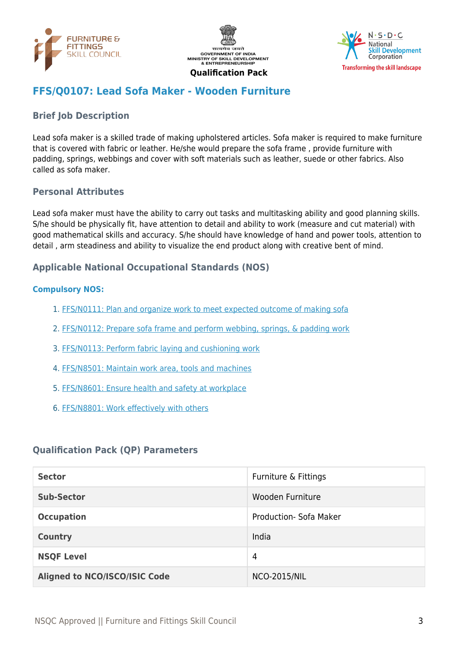





## <span id="page-2-0"></span>**FFS/Q0107: Lead Sofa Maker - Wooden Furniture**

## <span id="page-2-1"></span>**Brief Job Description**

Lead sofa maker is a skilled trade of making upholstered articles. Sofa maker is required to make furniture that is covered with fabric or leather. He/she would prepare the sofa frame , provide furniture with padding, springs, webbings and cover with soft materials such as leather, suede or other fabrics. Also called as sofa maker.

#### **Personal Attributes**

Lead sofa maker must have the ability to carry out tasks and multitasking ability and good planning skills. S/he should be physically fit, have attention to detail and ability to work (measure and cut material) with good mathematical skills and accuracy. S/he should have knowledge of hand and power tools, attention to detail , arm steadiness and ability to visualize the end product along with creative bent of mind.

#### <span id="page-2-2"></span>**Applicable National Occupational Standards (NOS)**

#### <span id="page-2-3"></span>**Compulsory NOS:**

- 1. [FFS/N0111: Plan and organize work to meet expected outcome of making sofa](#page-4-0)
- 2. [FFS/N0112: Prepare sofa frame and perform webbing, springs, & padding work](#page-10-0)
- 3. [FFS/N0113: Perform fabric laying and cushioning work](#page-16-0)
- 4. [FFS/N8501: Maintain work area, tools and machines](#page-22-0)
- 5. [FFS/N8601: Ensure health and safety at workplace](#page-26-0)
- 6. [FFS/N8801: Work effectively with others](#page-34-0)

#### <span id="page-2-4"></span>**Qualification Pack (QP) Parameters**

| <b>Sector</b>                        | Furniture & Fittings          |
|--------------------------------------|-------------------------------|
| <b>Sub-Sector</b>                    | Wooden Furniture              |
| <b>Occupation</b>                    | <b>Production- Sofa Maker</b> |
| <b>Country</b>                       | India                         |
| <b>NSQF Level</b>                    | 4                             |
| <b>Aligned to NCO/ISCO/ISIC Code</b> | <b>NCO-2015/NIL</b>           |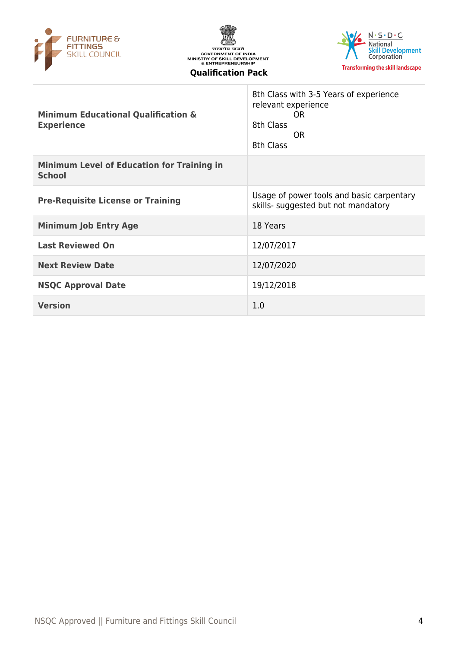





| <b>Minimum Educational Qualification &amp;</b><br><b>Experience</b> | 8th Class with 3-5 Years of experience<br>relevant experience<br>OR.<br>8th Class<br>OR.<br>8th Class |
|---------------------------------------------------------------------|-------------------------------------------------------------------------------------------------------|
| <b>Minimum Level of Education for Training in</b><br><b>School</b>  |                                                                                                       |
| <b>Pre-Requisite License or Training</b>                            | Usage of power tools and basic carpentary<br>skills- suggested but not mandatory                      |
| <b>Minimum Job Entry Age</b>                                        | 18 Years                                                                                              |
| <b>Last Reviewed On</b>                                             | 12/07/2017                                                                                            |
| <b>Next Review Date</b>                                             | 12/07/2020                                                                                            |
| <b>NSQC Approval Date</b>                                           | 19/12/2018                                                                                            |
| <b>Version</b>                                                      | 1.0                                                                                                   |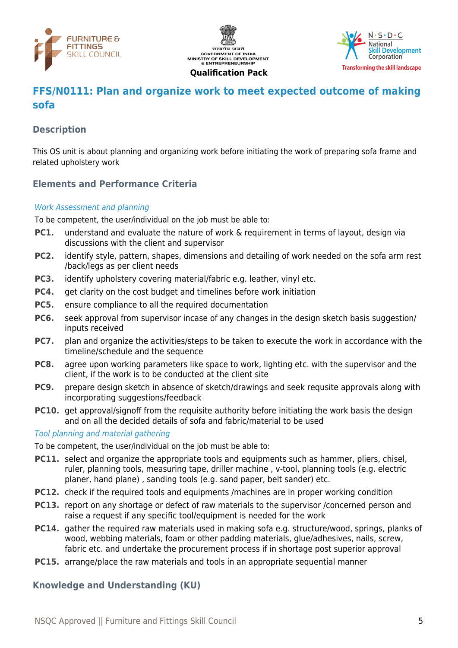





## <span id="page-4-0"></span>**FFS/N0111: Plan and organize work to meet expected outcome of making sofa**

#### **Description**

This OS unit is about planning and organizing work before initiating the work of preparing sofa frame and related upholstery work

## **Elements and Performance Criteria**

#### Work Assessment and planning

To be competent, the user/individual on the job must be able to:

- **PC1.** understand and evaluate the nature of work & requirement in terms of layout, design via discussions with the client and supervisor
- **PC2.** identify style, pattern, shapes, dimensions and detailing of work needed on the sofa arm rest /back/legs as per client needs
- **PC3.** identify upholstery covering material/fabric e.g. leather, vinyl etc.
- **PC4.** get clarity on the cost budget and timelines before work initiation
- **PC5.** ensure compliance to all the required documentation
- **PC6.** seek approval from supervisor incase of any changes in the design sketch basis suggestion/ inputs received
- **PC7.** plan and organize the activities/steps to be taken to execute the work in accordance with the timeline/schedule and the sequence
- **PC8.** agree upon working parameters like space to work, lighting etc. with the supervisor and the client, if the work is to be conducted at the client site
- **PC9.** prepare design sketch in absence of sketch/drawings and seek requsite approvals along with incorporating suggestions/feedback
- **PC10.** get approval/signoff from the requisite authority before initiating the work basis the design and on all the decided details of sofa and fabric/material to be used

#### Tool planning and material gathering

To be competent, the user/individual on the job must be able to:

- **PC11.** select and organize the appropriate tools and equipments such as hammer, pliers, chisel, ruler, planning tools, measuring tape, driller machine , v-tool, planning tools (e.g. electric planer, hand plane) , sanding tools (e.g. sand paper, belt sander) etc.
- **PC12.** check if the required tools and equipments /machines are in proper working condition
- **PC13.** report on any shortage or defect of raw materials to the supervisor /concerned person and raise a request if any specific tool/equipment is needed for the work
- **PC14.** gather the required raw materials used in making sofa e.g. structure/wood, springs, planks of wood, webbing materials, foam or other padding materials, glue/adhesives, nails, screw, fabric etc. and undertake the procurement process if in shortage post superior approval
- **PC15.** arrange/place the raw materials and tools in an appropriate sequential manner

#### **Knowledge and Understanding (KU)**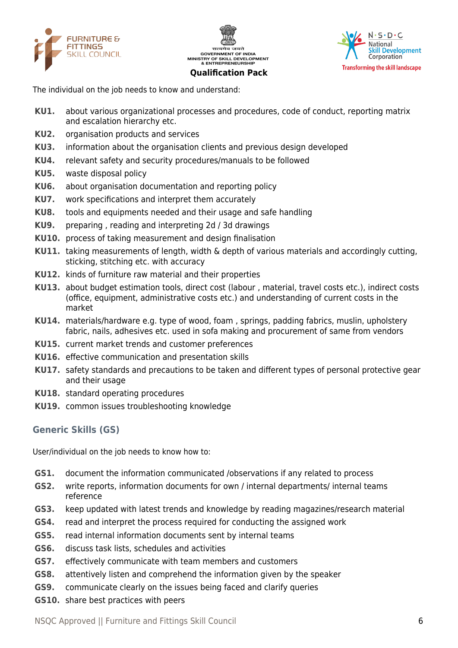





The individual on the job needs to know and understand:

- **KU1.** about various organizational processes and procedures, code of conduct, reporting matrix and escalation hierarchy etc.
- **KU2.** organisation products and services
- **KU3.** information about the organisation clients and previous design developed
- **KU4.** relevant safety and security procedures/manuals to be followed
- **KU5.** waste disposal policy
- **KU6.** about organisation documentation and reporting policy
- **KU7.** work specifications and interpret them accurately
- **KU8.** tools and equipments needed and their usage and safe handling
- **KU9.** preparing , reading and interpreting 2d / 3d drawings
- **KU10.** process of taking measurement and design finalisation
- **KU11.** taking measurements of length, width & depth of various materials and accordingly cutting, sticking, stitching etc. with accuracy
- **KU12.** kinds of furniture raw material and their properties
- **KU13.** about budget estimation tools, direct cost (labour , material, travel costs etc.), indirect costs (office, equipment, administrative costs etc.) and understanding of current costs in the market
- **KU14.** materials/hardware e.g. type of wood, foam , springs, padding fabrics, muslin, upholstery fabric, nails, adhesives etc. used in sofa making and procurement of same from vendors
- **KU15.** current market trends and customer preferences
- **KU16.** effective communication and presentation skills
- **KU17.** safety standards and precautions to be taken and different types of personal protective gear and their usage
- **KU18.** standard operating procedures
- **KU19.** common issues troubleshooting knowledge

#### **Generic Skills (GS)**

User/individual on the job needs to know how to:

- **GS1.** document the information communicated /observations if any related to process
- **GS2.** write reports, information documents for own / internal departments/ internal teams reference
- **GS3.** keep updated with latest trends and knowledge by reading magazines/research material
- **GS4.** read and interpret the process required for conducting the assigned work
- **GS5.** read internal information documents sent by internal teams
- **GS6.** discuss task lists, schedules and activities
- **GS7.** effectively communicate with team members and customers
- **GS8.** attentively listen and comprehend the information given by the speaker
- **GS9.** communicate clearly on the issues being faced and clarify queries
- **GS10.** share best practices with peers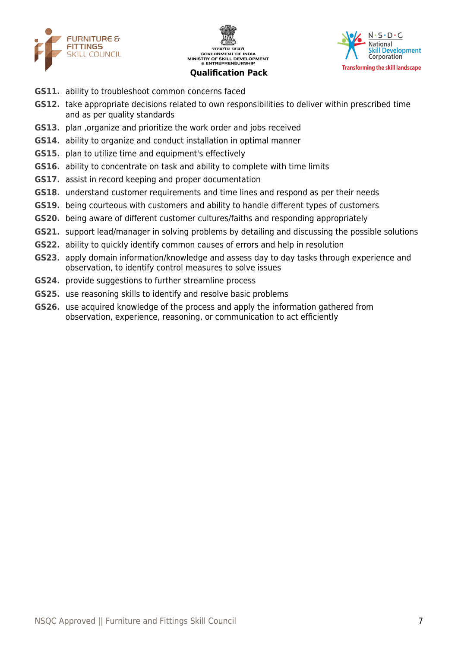





- **GS11.** ability to troubleshoot common concerns faced
- **GS12.** take appropriate decisions related to own responsibilities to deliver within prescribed time and as per quality standards
- **GS13.** plan ,organize and prioritize the work order and jobs received
- **GS14.** ability to organize and conduct installation in optimal manner
- **GS15.** plan to utilize time and equipment's effectively
- **GS16.** ability to concentrate on task and ability to complete with time limits
- **GS17.** assist in record keeping and proper documentation
- **GS18.** understand customer requirements and time lines and respond as per their needs
- **GS19.** being courteous with customers and ability to handle different types of customers
- **GS20.** being aware of different customer cultures/faiths and responding appropriately
- **GS21.** support lead/manager in solving problems by detailing and discussing the possible solutions
- **GS22.** ability to quickly identify common causes of errors and help in resolution
- **GS23.** apply domain information/knowledge and assess day to day tasks through experience and observation, to identify control measures to solve issues
- **GS24.** provide suggestions to further streamline process
- **GS25.** use reasoning skills to identify and resolve basic problems
- **GS26.** use acquired knowledge of the process and apply the information gathered from observation, experience, reasoning, or communication to act efficiently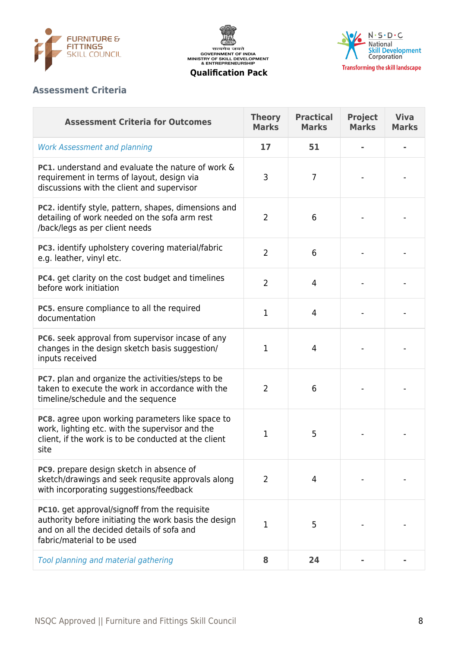





## **Assessment Criteria**

| <b>Assessment Criteria for Outcomes</b>                                                                                                                                                   | <b>Theory</b><br><b>Marks</b> | <b>Practical</b><br><b>Marks</b> | <b>Project</b><br><b>Marks</b> | <b>Viva</b><br><b>Marks</b> |
|-------------------------------------------------------------------------------------------------------------------------------------------------------------------------------------------|-------------------------------|----------------------------------|--------------------------------|-----------------------------|
| <b>Work Assessment and planning</b>                                                                                                                                                       | 17                            | 51                               |                                |                             |
| <b>PC1.</b> understand and evaluate the nature of work &<br>requirement in terms of layout, design via<br>discussions with the client and supervisor                                      | 3                             | $\overline{7}$                   |                                |                             |
| PC2. identify style, pattern, shapes, dimensions and<br>detailing of work needed on the sofa arm rest<br>/back/legs as per client needs                                                   | $\overline{2}$                | 6                                |                                |                             |
| PC3. identify upholstery covering material/fabric<br>e.g. leather, vinyl etc.                                                                                                             | $\overline{2}$                | 6                                |                                |                             |
| PC4. get clarity on the cost budget and timelines<br>before work initiation                                                                                                               | $\overline{2}$                | 4                                |                                |                             |
| PC5. ensure compliance to all the required<br>documentation                                                                                                                               | $\mathbf{1}$                  | $\overline{4}$                   |                                |                             |
| PC6. seek approval from supervisor incase of any<br>changes in the design sketch basis suggestion/<br>inputs received                                                                     | $\mathbf{1}$                  | $\overline{4}$                   |                                |                             |
| PC7. plan and organize the activities/steps to be<br>taken to execute the work in accordance with the<br>timeline/schedule and the sequence                                               | $\overline{2}$                | 6                                |                                |                             |
| PC8. agree upon working parameters like space to<br>work, lighting etc. with the supervisor and the<br>client, if the work is to be conducted at the client<br>site                       | $\mathbf 1$                   | 5                                |                                |                             |
| <b>PC9.</b> prepare design sketch in absence of<br>sketch/drawings and seek requsite approvals along<br>with incorporating suggestions/feedback                                           | $\overline{2}$                | 4                                |                                |                             |
| <b>PC10.</b> get approval/signoff from the requisite<br>authority before initiating the work basis the design<br>and on all the decided details of sofa and<br>fabric/material to be used | $\mathbf 1$                   | 5                                |                                |                             |
| Tool planning and material gathering                                                                                                                                                      | 8                             | 24                               |                                |                             |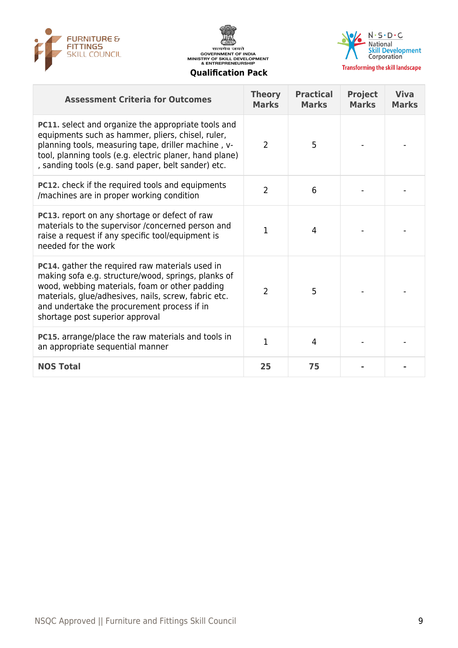





| <b>Assessment Criteria for Outcomes</b>                                                                                                                                                                                                                                                            | <b>Theory</b><br><b>Marks</b> | <b>Practical</b><br><b>Marks</b> | <b>Project</b><br><b>Marks</b> | <b>Viva</b><br><b>Marks</b> |
|----------------------------------------------------------------------------------------------------------------------------------------------------------------------------------------------------------------------------------------------------------------------------------------------------|-------------------------------|----------------------------------|--------------------------------|-----------------------------|
| PC11. select and organize the appropriate tools and<br>equipments such as hammer, pliers, chisel, ruler,<br>planning tools, measuring tape, driller machine, v-<br>tool, planning tools (e.g. electric planer, hand plane)<br>, sanding tools (e.g. sand paper, belt sander) etc.                  | $\overline{2}$                | 5                                |                                |                             |
| <b>PC12.</b> check if the required tools and equipments<br>/machines are in proper working condition                                                                                                                                                                                               | $\overline{2}$                | 6                                |                                |                             |
| PC13. report on any shortage or defect of raw<br>materials to the supervisor /concerned person and<br>raise a request if any specific tool/equipment is<br>needed for the work                                                                                                                     | $\mathbf{1}$                  | $\overline{4}$                   |                                |                             |
| PC14. gather the required raw materials used in<br>making sofa e.g. structure/wood, springs, planks of<br>wood, webbing materials, foam or other padding<br>materials, glue/adhesives, nails, screw, fabric etc.<br>and undertake the procurement process if in<br>shortage post superior approval | 2                             | 5                                |                                |                             |
| <b>PC15.</b> arrange/place the raw materials and tools in<br>an appropriate sequential manner                                                                                                                                                                                                      | $\overline{1}$                | $\overline{4}$                   |                                |                             |
| <b>NOS Total</b>                                                                                                                                                                                                                                                                                   | 25                            | 75                               |                                |                             |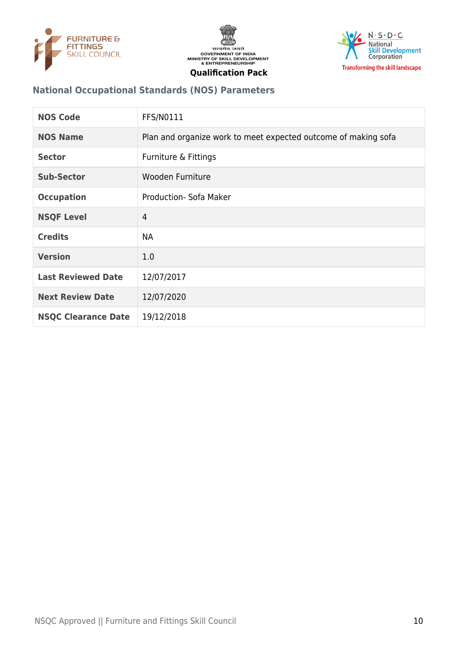





## **National Occupational Standards (NOS) Parameters**

| <b>NOS Code</b>            | <b>FFS/N0111</b>                                               |
|----------------------------|----------------------------------------------------------------|
| <b>NOS Name</b>            | Plan and organize work to meet expected outcome of making sofa |
| <b>Sector</b>              | Furniture & Fittings                                           |
| <b>Sub-Sector</b>          | Wooden Furniture                                               |
| <b>Occupation</b>          | Production- Sofa Maker                                         |
| <b>NSQF Level</b>          | 4                                                              |
| <b>Credits</b>             | <b>NA</b>                                                      |
| <b>Version</b>             | 1.0                                                            |
| <b>Last Reviewed Date</b>  | 12/07/2017                                                     |
| <b>Next Review Date</b>    | 12/07/2020                                                     |
| <b>NSQC Clearance Date</b> | 19/12/2018                                                     |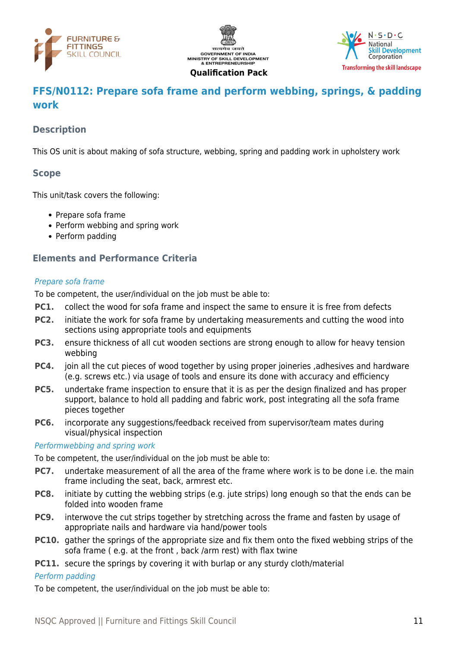





## <span id="page-10-0"></span>**FFS/N0112: Prepare sofa frame and perform webbing, springs, & padding work**

## **Description**

This OS unit is about making of sofa structure, webbing, spring and padding work in upholstery work

#### **Scope**

This unit/task covers the following:

- Prepare sofa frame
- Perform webbing and spring work
- Perform padding

## **Elements and Performance Criteria**

#### Prepare sofa frame

To be competent, the user/individual on the job must be able to:

- **PC1.** collect the wood for sofa frame and inspect the same to ensure it is free from defects
- **PC2.** initiate the work for sofa frame by undertaking measurements and cutting the wood into sections using appropriate tools and equipments
- **PC3.** ensure thickness of all cut wooden sections are strong enough to allow for heavy tension webbing
- **PC4.** join all the cut pieces of wood together by using proper joineries ,adhesives and hardware (e.g. screws etc.) via usage of tools and ensure its done with accuracy and efficiency
- **PC5.** undertake frame inspection to ensure that it is as per the design finalized and has proper support, balance to hold all padding and fabric work, post integrating all the sofa frame pieces together
- **PC6.** incorporate any suggestions/feedback received from supervisor/team mates during visual/physical inspection

#### Performwebbing and spring work

To be competent, the user/individual on the job must be able to:

- **PC7.** undertake measurement of all the area of the frame where work is to be done i.e. the main frame including the seat, back, armrest etc.
- **PC8.** initiate by cutting the webbing strips (e.g. jute strips) long enough so that the ends can be folded into wooden frame
- **PC9.** interwove the cut strips together by stretching across the frame and fasten by usage of appropriate nails and hardware via hand/power tools
- **PC10.** gather the springs of the appropriate size and fix them onto the fixed webbing strips of the sofa frame ( e.g. at the front , back /arm rest) with flax twine
- **PC11.** secure the springs by covering it with burlap or any sturdy cloth/material

#### Perform padding

To be competent, the user/individual on the job must be able to: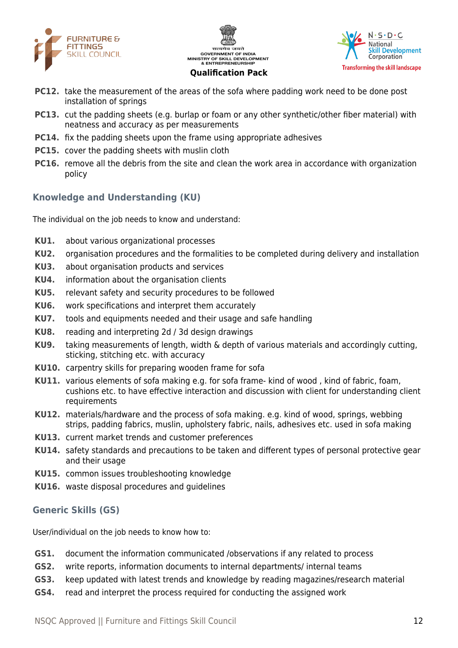





- **PC12.** take the measurement of the areas of the sofa where padding work need to be done post installation of springs
- **PC13.** cut the padding sheets (e.g. burlap or foam or any other synthetic/other fiber material) with neatness and accuracy as per measurements
- **PC14.** fix the padding sheets upon the frame using appropriate adhesives
- **PC15.** cover the padding sheets with muslin cloth
- **PC16.** remove all the debris from the site and clean the work area in accordance with organization policy

## **Knowledge and Understanding (KU)**

The individual on the job needs to know and understand:

- **KU1.** about various organizational processes
- **KU2.** organisation procedures and the formalities to be completed during delivery and installation
- **KU3.** about organisation products and services
- **KU4.** information about the organisation clients
- **KU5.** relevant safety and security procedures to be followed
- **KU6.** work specifications and interpret them accurately
- **KU7.** tools and equipments needed and their usage and safe handling
- **KU8.** reading and interpreting 2d / 3d design drawings
- **KU9.** taking measurements of length, width & depth of various materials and accordingly cutting, sticking, stitching etc. with accuracy
- **KU10.** carpentry skills for preparing wooden frame for sofa
- **KU11.** various elements of sofa making e.g. for sofa frame- kind of wood , kind of fabric, foam, cushions etc. to have effective interaction and discussion with client for understanding client requirements
- **KU12.** materials/hardware and the process of sofa making. e.g. kind of wood, springs, webbing strips, padding fabrics, muslin, upholstery fabric, nails, adhesives etc. used in sofa making
- **KU13.** current market trends and customer preferences
- **KU14.** safety standards and precautions to be taken and different types of personal protective gear and their usage
- **KU15.** common issues troubleshooting knowledge
- **KU16.** waste disposal procedures and guidelines

#### **Generic Skills (GS)**

User/individual on the job needs to know how to:

- **GS1.** document the information communicated /observations if any related to process
- **GS2.** write reports, information documents to internal departments/ internal teams
- **GS3.** keep updated with latest trends and knowledge by reading magazines/research material
- **GS4.** read and interpret the process required for conducting the assigned work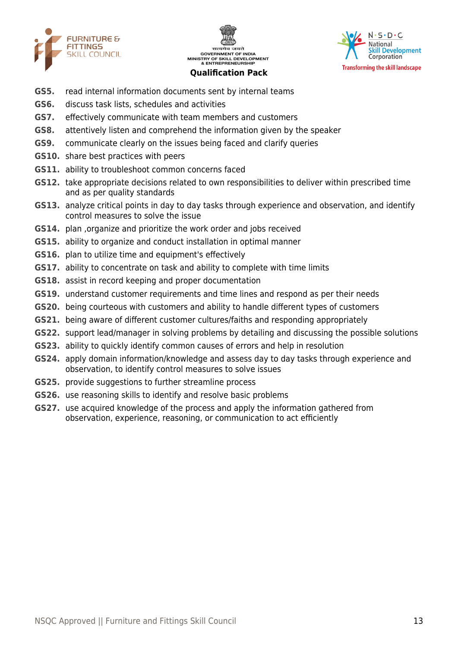





- **GS5.** read internal information documents sent by internal teams
- **GS6.** discuss task lists, schedules and activities
- **GS7.** effectively communicate with team members and customers
- **GS8.** attentively listen and comprehend the information given by the speaker
- **GS9.** communicate clearly on the issues being faced and clarify queries
- **GS10.** share best practices with peers
- **GS11.** ability to troubleshoot common concerns faced
- **GS12.** take appropriate decisions related to own responsibilities to deliver within prescribed time and as per quality standards
- **GS13.** analyze critical points in day to day tasks through experience and observation, and identify control measures to solve the issue
- **GS14.** plan ,organize and prioritize the work order and jobs received
- **GS15.** ability to organize and conduct installation in optimal manner
- **GS16.** plan to utilize time and equipment's effectively
- **GS17.** ability to concentrate on task and ability to complete with time limits
- **GS18.** assist in record keeping and proper documentation
- **GS19.** understand customer requirements and time lines and respond as per their needs
- **GS20.** being courteous with customers and ability to handle different types of customers
- **GS21.** being aware of different customer cultures/faiths and responding appropriately
- **GS22.** support lead/manager in solving problems by detailing and discussing the possible solutions
- **GS23.** ability to quickly identify common causes of errors and help in resolution
- **GS24.** apply domain information/knowledge and assess day to day tasks through experience and observation, to identify control measures to solve issues
- **GS25.** provide suggestions to further streamline process
- **GS26.** use reasoning skills to identify and resolve basic problems
- **GS27.** use acquired knowledge of the process and apply the information gathered from observation, experience, reasoning, or communication to act efficiently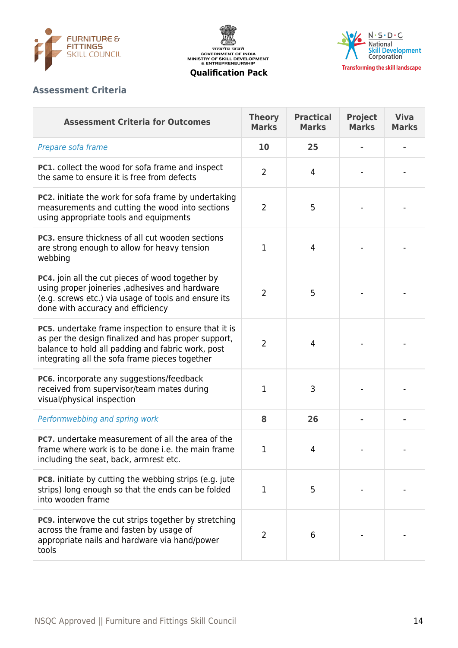





## **Assessment Criteria**

| <b>Assessment Criteria for Outcomes</b>                                                                                                                                                                            | <b>Theory</b><br><b>Marks</b> | <b>Practical</b><br><b>Marks</b> | <b>Project</b><br><b>Marks</b> | <b>Viva</b><br><b>Marks</b> |
|--------------------------------------------------------------------------------------------------------------------------------------------------------------------------------------------------------------------|-------------------------------|----------------------------------|--------------------------------|-----------------------------|
| Prepare sofa frame                                                                                                                                                                                                 | 10                            | 25                               |                                |                             |
| PC1. collect the wood for sofa frame and inspect<br>the same to ensure it is free from defects                                                                                                                     | $\overline{2}$                | 4                                |                                |                             |
| <b>PC2.</b> initiate the work for sofa frame by undertaking<br>measurements and cutting the wood into sections<br>using appropriate tools and equipments                                                           | $\overline{2}$                | 5                                |                                |                             |
| <b>PC3.</b> ensure thickness of all cut wooden sections<br>are strong enough to allow for heavy tension<br>webbing                                                                                                 | 1                             | $\overline{4}$                   |                                |                             |
| PC4. join all the cut pieces of wood together by<br>using proper joineries , adhesives and hardware<br>(e.g. screws etc.) via usage of tools and ensure its<br>done with accuracy and efficiency                   | $\overline{2}$                | 5                                |                                |                             |
| PC5. undertake frame inspection to ensure that it is<br>as per the design finalized and has proper support,<br>balance to hold all padding and fabric work, post<br>integrating all the sofa frame pieces together | $\overline{2}$                | 4                                |                                |                             |
| PC6. incorporate any suggestions/feedback<br>received from supervisor/team mates during<br>visual/physical inspection                                                                                              | 1                             | 3                                |                                |                             |
| Performwebbing and spring work                                                                                                                                                                                     | 8                             | 26                               |                                |                             |
| <b>PC7.</b> undertake measurement of all the area of the<br>frame where work is to be done i.e. the main frame<br>including the seat, back, armrest etc.                                                           | 1                             | 4                                |                                |                             |
| <b>PC8.</b> initiate by cutting the webbing strips (e.g. jute<br>strips) long enough so that the ends can be folded<br>into wooden frame                                                                           | 1                             | 5                                |                                |                             |
| PC9. interwove the cut strips together by stretching<br>across the frame and fasten by usage of<br>appropriate nails and hardware via hand/power<br>tools                                                          | 2                             | 6                                |                                |                             |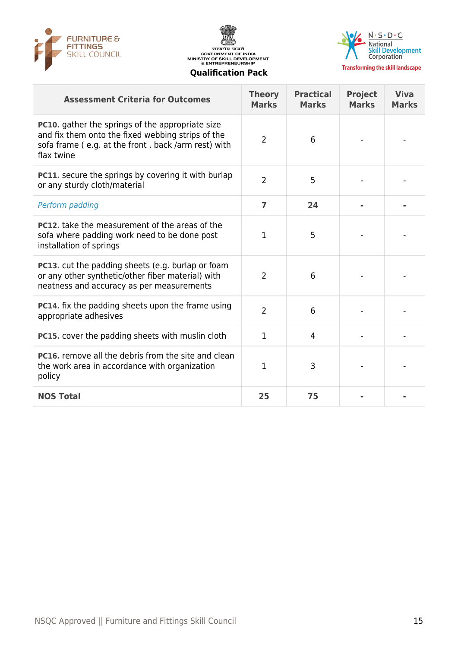





| <b>Assessment Criteria for Outcomes</b>                                                                                                                                           | <b>Theory</b><br><b>Marks</b> | <b>Practical</b><br><b>Marks</b> | <b>Project</b><br><b>Marks</b> | <b>Viva</b><br><b>Marks</b> |
|-----------------------------------------------------------------------------------------------------------------------------------------------------------------------------------|-------------------------------|----------------------------------|--------------------------------|-----------------------------|
| <b>PC10.</b> gather the springs of the appropriate size<br>and fix them onto the fixed webbing strips of the<br>sofa frame (e.g. at the front, back /arm rest) with<br>flax twine | $\overline{2}$                | 6                                |                                |                             |
| PC11. secure the springs by covering it with burlap<br>or any sturdy cloth/material                                                                                               | $\overline{2}$                | 5                                |                                |                             |
| Perform padding                                                                                                                                                                   | 7                             | 24                               |                                |                             |
| PC12. take the measurement of the areas of the<br>sofa where padding work need to be done post<br>installation of springs                                                         | 1                             | 5                                |                                |                             |
| PC13. cut the padding sheets (e.g. burlap or foam<br>or any other synthetic/other fiber material) with<br>neatness and accuracy as per measurements                               | $\overline{2}$                | 6                                |                                |                             |
| PC14. fix the padding sheets upon the frame using<br>appropriate adhesives                                                                                                        | $\overline{2}$                | 6                                |                                |                             |
| PC15. cover the padding sheets with muslin cloth                                                                                                                                  | 1                             | $\overline{4}$                   |                                |                             |
| <b>PC16.</b> remove all the debris from the site and clean<br>the work area in accordance with organization<br>policy                                                             | 1                             | 3                                |                                |                             |
| <b>NOS Total</b>                                                                                                                                                                  | 25                            | 75                               |                                |                             |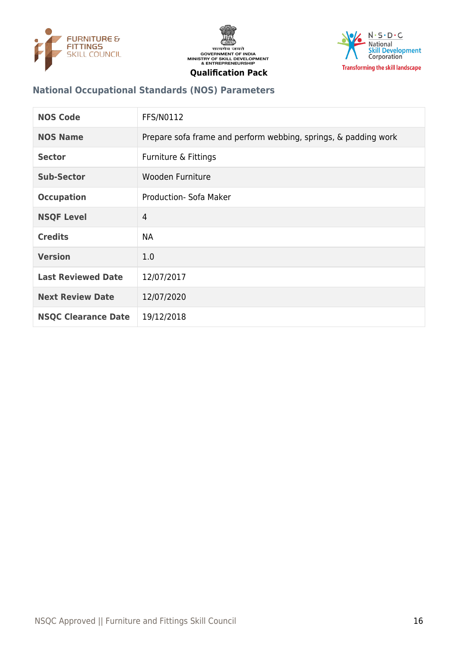





## **National Occupational Standards (NOS) Parameters**

| <b>NOS Code</b>            | <b>FFS/N0112</b>                                                |
|----------------------------|-----------------------------------------------------------------|
| <b>NOS Name</b>            | Prepare sofa frame and perform webbing, springs, & padding work |
| <b>Sector</b>              | Furniture & Fittings                                            |
| <b>Sub-Sector</b>          | Wooden Furniture                                                |
| <b>Occupation</b>          | Production- Sofa Maker                                          |
| <b>NSQF Level</b>          | $\overline{4}$                                                  |
| <b>Credits</b>             | <b>NA</b>                                                       |
| <b>Version</b>             | 1.0                                                             |
| <b>Last Reviewed Date</b>  | 12/07/2017                                                      |
| <b>Next Review Date</b>    | 12/07/2020                                                      |
| <b>NSQC Clearance Date</b> | 19/12/2018                                                      |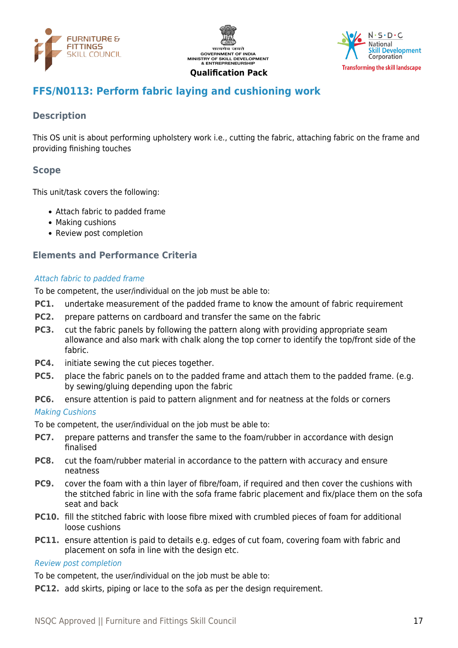





## <span id="page-16-0"></span>**FFS/N0113: Perform fabric laying and cushioning work**

## **Description**

This OS unit is about performing upholstery work i.e., cutting the fabric, attaching fabric on the frame and providing finishing touches

## **Scope**

This unit/task covers the following:

- Attach fabric to padded frame
- Making cushions
- Review post completion

## **Elements and Performance Criteria**

#### Attach fabric to padded frame

To be competent, the user/individual on the job must be able to:

- **PC1.** undertake measurement of the padded frame to know the amount of fabric requirement
- **PC2.** prepare patterns on cardboard and transfer the same on the fabric
- **PC3.** cut the fabric panels by following the pattern along with providing appropriate seam allowance and also mark with chalk along the top corner to identify the top/front side of the fabric.
- **PC4.** initiate sewing the cut pieces together.
- **PC5.** place the fabric panels on to the padded frame and attach them to the padded frame. (e.g. by sewing/gluing depending upon the fabric
- **PC6.** ensure attention is paid to pattern alignment and for neatness at the folds or corners

#### Making Cushions

To be competent, the user/individual on the job must be able to:

- **PC7.** prepare patterns and transfer the same to the foam/rubber in accordance with design finalised
- **PC8.** cut the foam/rubber material in accordance to the pattern with accuracy and ensure neatness
- **PC9.** cover the foam with a thin layer of fibre/foam, if required and then cover the cushions with the stitched fabric in line with the sofa frame fabric placement and fix/place them on the sofa seat and back
- **PC10.** fill the stitched fabric with loose fibre mixed with crumbled pieces of foam for additional loose cushions
- **PC11.** ensure attention is paid to details e.g. edges of cut foam, covering foam with fabric and placement on sofa in line with the design etc.

#### Review post completion

To be competent, the user/individual on the job must be able to:

**PC12.** add skirts, piping or lace to the sofa as per the design requirement.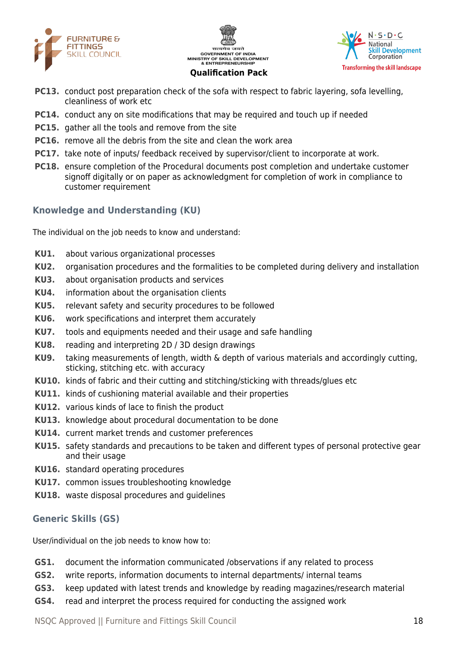





- **PC13.** conduct post preparation check of the sofa with respect to fabric layering, sofa levelling, cleanliness of work etc
- **PC14.** conduct any on site modifications that may be required and touch up if needed
- **PC15.** gather all the tools and remove from the site
- **PC16.** remove all the debris from the site and clean the work area
- **PC17.** take note of inputs/ feedback received by supervisor/client to incorporate at work.
- **PC18.** ensure completion of the Procedural documents post completion and undertake customer signoff digitally or on paper as acknowledgment for completion of work in compliance to customer requirement

## **Knowledge and Understanding (KU)**

The individual on the job needs to know and understand:

- **KU1.** about various organizational processes
- **KU2.** organisation procedures and the formalities to be completed during delivery and installation
- **KU3.** about organisation products and services
- **KU4.** information about the organisation clients
- **KU5.** relevant safety and security procedures to be followed
- **KU6.** work specifications and interpret them accurately
- **KU7.** tools and equipments needed and their usage and safe handling
- **KU8.** reading and interpreting 2D / 3D design drawings
- **KU9.** taking measurements of length, width & depth of various materials and accordingly cutting, sticking, stitching etc. with accuracy
- **KU10.** kinds of fabric and their cutting and stitching/sticking with threads/glues etc
- **KU11.** kinds of cushioning material available and their properties
- **KU12.** various kinds of lace to finish the product
- **KU13.** knowledge about procedural documentation to be done
- **KU14.** current market trends and customer preferences
- **KU15.** safety standards and precautions to be taken and different types of personal protective gear and their usage
- **KU16.** standard operating procedures
- **KU17.** common issues troubleshooting knowledge
- **KU18.** waste disposal procedures and guidelines

## **Generic Skills (GS)**

User/individual on the job needs to know how to:

- **GS1.** document the information communicated /observations if any related to process
- **GS2.** write reports, information documents to internal departments/ internal teams
- **GS3.** keep updated with latest trends and knowledge by reading magazines/research material
- **GS4.** read and interpret the process required for conducting the assigned work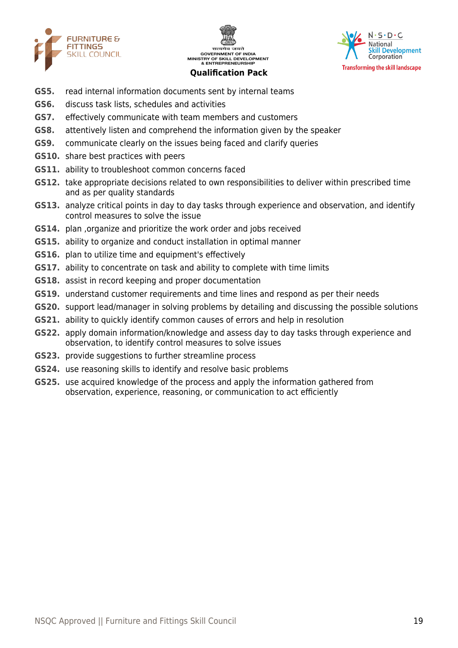





- **GS5.** read internal information documents sent by internal teams
- **GS6.** discuss task lists, schedules and activities
- **GS7.** effectively communicate with team members and customers
- **GS8.** attentively listen and comprehend the information given by the speaker
- **GS9.** communicate clearly on the issues being faced and clarify queries
- **GS10.** share best practices with peers
- **GS11.** ability to troubleshoot common concerns faced
- **GS12.** take appropriate decisions related to own responsibilities to deliver within prescribed time and as per quality standards
- **GS13.** analyze critical points in day to day tasks through experience and observation, and identify control measures to solve the issue
- **GS14.** plan ,organize and prioritize the work order and jobs received
- **GS15.** ability to organize and conduct installation in optimal manner
- **GS16.** plan to utilize time and equipment's effectively
- **GS17.** ability to concentrate on task and ability to complete with time limits
- **GS18.** assist in record keeping and proper documentation
- **GS19.** understand customer requirements and time lines and respond as per their needs
- **GS20.** support lead/manager in solving problems by detailing and discussing the possible solutions
- **GS21.** ability to quickly identify common causes of errors and help in resolution
- **GS22.** apply domain information/knowledge and assess day to day tasks through experience and observation, to identify control measures to solve issues
- **GS23.** provide suggestions to further streamline process
- **GS24.** use reasoning skills to identify and resolve basic problems
- **GS25.** use acquired knowledge of the process and apply the information gathered from observation, experience, reasoning, or communication to act efficiently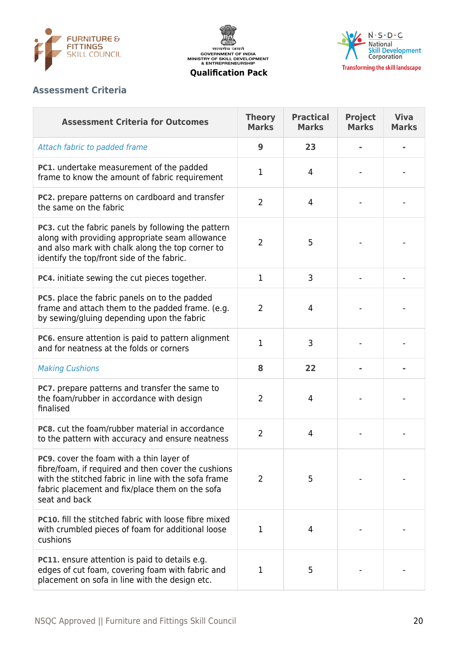





### **Assessment Criteria**

| <b>Assessment Criteria for Outcomes</b>                                                                                                                                                                                     | <b>Theory</b><br><b>Marks</b> | <b>Practical</b><br><b>Marks</b> | <b>Project</b><br><b>Marks</b> | <b>Viva</b><br><b>Marks</b> |
|-----------------------------------------------------------------------------------------------------------------------------------------------------------------------------------------------------------------------------|-------------------------------|----------------------------------|--------------------------------|-----------------------------|
| Attach fabric to padded frame                                                                                                                                                                                               | 9                             | 23                               |                                |                             |
| <b>PC1.</b> undertake measurement of the padded<br>frame to know the amount of fabric requirement                                                                                                                           | 1                             | 4                                |                                |                             |
| PC2. prepare patterns on cardboard and transfer<br>the same on the fabric                                                                                                                                                   | $\overline{2}$                | 4                                |                                |                             |
| PC3. cut the fabric panels by following the pattern<br>along with providing appropriate seam allowance<br>and also mark with chalk along the top corner to<br>identify the top/front side of the fabric.                    | $\overline{2}$                | 5                                |                                |                             |
| PC4. initiate sewing the cut pieces together.                                                                                                                                                                               | 1                             | 3                                |                                |                             |
| PC5. place the fabric panels on to the padded<br>frame and attach them to the padded frame. (e.g.<br>by sewing/gluing depending upon the fabric                                                                             | $\overline{2}$                | 4                                |                                |                             |
| PC6. ensure attention is paid to pattern alignment<br>and for neatness at the folds or corners                                                                                                                              | $\mathbf{1}$                  | 3                                |                                |                             |
| <b>Making Cushions</b>                                                                                                                                                                                                      | 8                             | 22                               |                                |                             |
| <b>PC7.</b> prepare patterns and transfer the same to<br>the foam/rubber in accordance with design<br>finalised                                                                                                             | $\overline{2}$                | 4                                |                                |                             |
| <b>PC8.</b> cut the foam/rubber material in accordance<br>to the pattern with accuracy and ensure neatness                                                                                                                  | $\overline{2}$                | $\overline{4}$                   |                                |                             |
| PC9. cover the foam with a thin layer of<br>fibre/foam, if required and then cover the cushions<br>with the stitched fabric in line with the sofa frame<br>fabric placement and fix/place them on the sofa<br>seat and back | $\overline{2}$                | 5                                |                                |                             |
| PC10. fill the stitched fabric with loose fibre mixed<br>with crumbled pieces of foam for additional loose<br>cushions                                                                                                      | 1                             | 4                                |                                |                             |
| <b>PC11.</b> ensure attention is paid to details e.g.<br>edges of cut foam, covering foam with fabric and<br>placement on sofa in line with the design etc.                                                                 | 1                             | 5                                |                                |                             |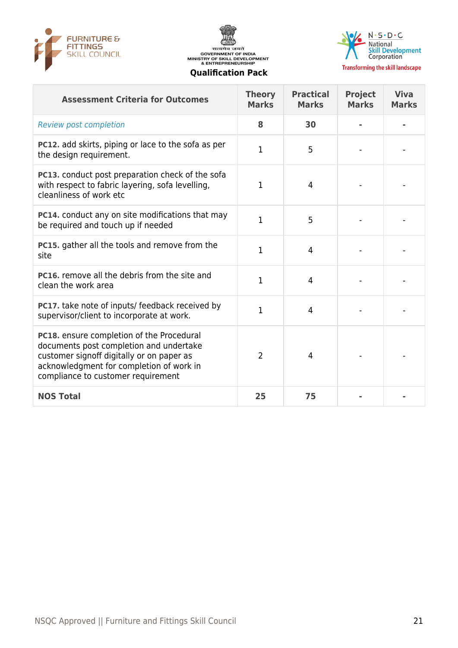





**Transforming the skill landscape** 

#### **Assessment Criteria for Outcomes Theory Marks Practical Marks Project Marks Viva Marks** Review post completion **8 30 - - PC12.** add skirts, piping or lace to the sofa as per the design requirement. <sup>1</sup> <sup>5</sup> - - **PC13.** conduct post preparation check of the sofa with respect to fabric layering, sofa levelling, cleanliness of work etc  $1 \qquad 4 \qquad - \qquad -$ **PC14.** conduct any on site modifications that may be required and touch up if needed <sup>1</sup> <sup>5</sup> - - **PC15.** gather all the tools and remove from the site state and the costs and remove nomine  $1 \t 4 \t -1$ **PC16.** remove all the debris from the site and **PCT6.** Temove all the debits from the site and  $1 \t 4 \t -1$ **PC17.** take note of inputs/ feedback received by PCI7. take note of inputs/ recuback received by  $1 \t 4 \t -1$ **PC18.** ensure completion of the Procedural documents post completion and undertake customer signoff digitally or on paper as acknowledgment for completion of work in compliance to customer requirement 2 | 4 | - | -**NOS Total 25 75 - -**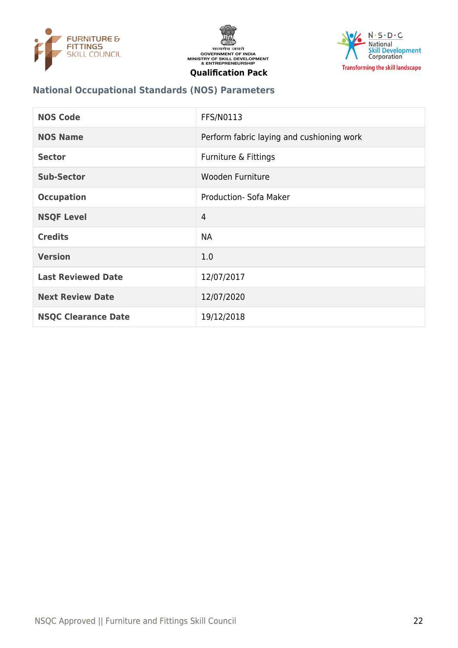





## **National Occupational Standards (NOS) Parameters**

| <b>NOS Code</b>            | <b>FFS/N0113</b>                          |
|----------------------------|-------------------------------------------|
| <b>NOS Name</b>            | Perform fabric laying and cushioning work |
| <b>Sector</b>              | Furniture & Fittings                      |
| <b>Sub-Sector</b>          | Wooden Furniture                          |
| <b>Occupation</b>          | Production- Sofa Maker                    |
| <b>NSQF Level</b>          | $\overline{4}$                            |
| <b>Credits</b>             | <b>NA</b>                                 |
| <b>Version</b>             | 1.0                                       |
| <b>Last Reviewed Date</b>  | 12/07/2017                                |
| <b>Next Review Date</b>    | 12/07/2020                                |
| <b>NSQC Clearance Date</b> | 19/12/2018                                |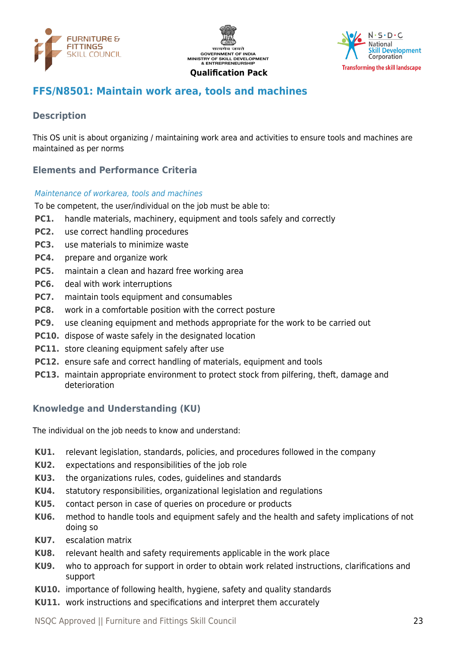





## <span id="page-22-0"></span>**FFS/N8501: Maintain work area, tools and machines**

## **Description**

This OS unit is about organizing / maintaining work area and activities to ensure tools and machines are maintained as per norms

## **Elements and Performance Criteria**

#### Maintenance of workarea, tools and machines

To be competent, the user/individual on the job must be able to:

- **PC1.** handle materials, machinery, equipment and tools safely and correctly
- **PC2.** use correct handling procedures
- **PC3.** use materials to minimize waste
- **PC4.** prepare and organize work
- **PC5.** maintain a clean and hazard free working area
- **PC6.** deal with work interruptions
- **PC7.** maintain tools equipment and consumables
- **PC8.** work in a comfortable position with the correct posture
- **PC9.** use cleaning equipment and methods appropriate for the work to be carried out
- **PC10.** dispose of waste safely in the designated location
- **PC11.** store cleaning equipment safely after use
- **PC12.** ensure safe and correct handling of materials, equipment and tools
- **PC13.** maintain appropriate environment to protect stock from pilfering, theft, damage and deterioration

## **Knowledge and Understanding (KU)**

The individual on the job needs to know and understand:

- **KU1.** relevant legislation, standards, policies, and procedures followed in the company
- **KU2.** expectations and responsibilities of the job role
- **KU3.** the organizations rules, codes, guidelines and standards
- **KU4.** statutory responsibilities, organizational legislation and regulations
- **KU5.** contact person in case of queries on procedure or products
- **KU6.** method to handle tools and equipment safely and the health and safety implications of not doing so
- **KU7.** escalation matrix
- **KU8.** relevant health and safety requirements applicable in the work place
- **KU9.** who to approach for support in order to obtain work related instructions, clarifications and support
- **KU10.** importance of following health, hygiene, safety and quality standards
- **KU11.** work instructions and specifications and interpret them accurately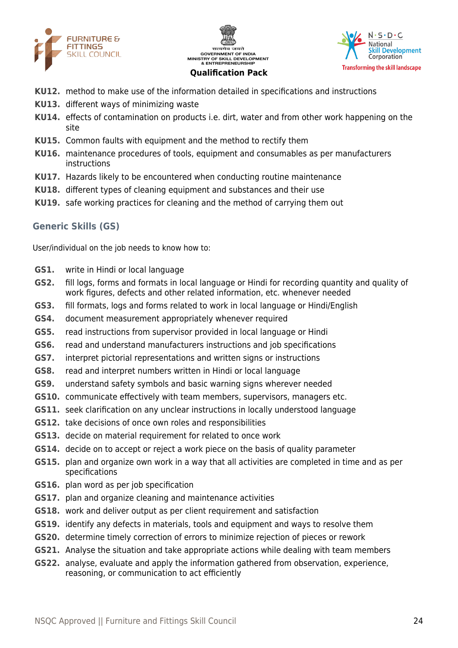





- **KU12.** method to make use of the information detailed in specifications and instructions
- **KU13.** different ways of minimizing waste
- **KU14.** effects of contamination on products i.e. dirt, water and from other work happening on the site
- **KU15.** Common faults with equipment and the method to rectify them
- **KU16.** maintenance procedures of tools, equipment and consumables as per manufacturers instructions
- **KU17.** Hazards likely to be encountered when conducting routine maintenance
- **KU18.** different types of cleaning equipment and substances and their use
- **KU19.** safe working practices for cleaning and the method of carrying them out

## **Generic Skills (GS)**

User/individual on the job needs to know how to:

- **GS1.** write in Hindi or local language
- **GS2.** fill logs, forms and formats in local language or Hindi for recording quantity and quality of work figures, defects and other related information, etc. whenever needed
- **GS3.** fill formats, logs and forms related to work in local language or Hindi/English
- **GS4.** document measurement appropriately whenever required
- **GS5.** read instructions from supervisor provided in local language or Hindi
- **GS6.** read and understand manufacturers instructions and job specifications
- **GS7.** interpret pictorial representations and written signs or instructions
- **GS8.** read and interpret numbers written in Hindi or local language
- **GS9.** understand safety symbols and basic warning signs wherever needed
- **GS10.** communicate effectively with team members, supervisors, managers etc.
- **GS11.** seek clarification on any unclear instructions in locally understood language
- **GS12.** take decisions of once own roles and responsibilities
- **GS13.** decide on material requirement for related to once work
- **GS14.** decide on to accept or reject a work piece on the basis of quality parameter
- **GS15.** plan and organize own work in a way that all activities are completed in time and as per specifications
- **GS16.** plan word as per job specification
- **GS17.** plan and organize cleaning and maintenance activities
- **GS18.** work and deliver output as per client requirement and satisfaction
- **GS19.** identify any defects in materials, tools and equipment and ways to resolve them
- **GS20.** determine timely correction of errors to minimize rejection of pieces or rework
- **GS21.** Analyse the situation and take appropriate actions while dealing with team members
- **GS22.** analyse, evaluate and apply the information gathered from observation, experience, reasoning, or communication to act efficiently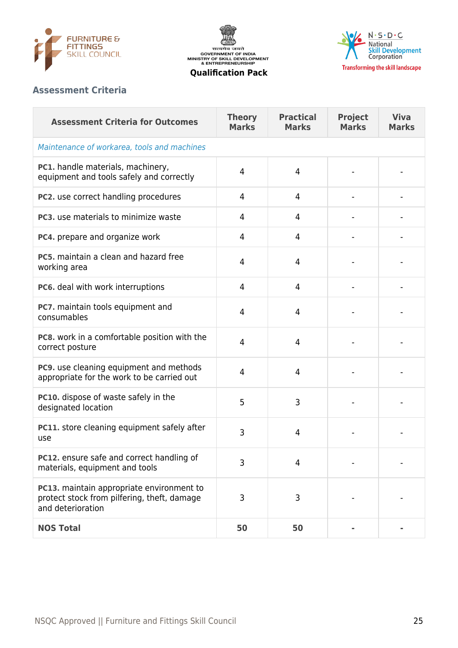





## **Assessment Criteria**

| <b>Assessment Criteria for Outcomes</b>                                                                       | <b>Theory</b><br><b>Marks</b> | <b>Practical</b><br><b>Marks</b> | <b>Project</b><br><b>Marks</b> | <b>Viva</b><br><b>Marks</b> |  |  |
|---------------------------------------------------------------------------------------------------------------|-------------------------------|----------------------------------|--------------------------------|-----------------------------|--|--|
| Maintenance of workarea, tools and machines                                                                   |                               |                                  |                                |                             |  |  |
| PC1. handle materials, machinery,<br>equipment and tools safely and correctly                                 | 4                             | 4                                |                                |                             |  |  |
| PC2. use correct handling procedures                                                                          | 4                             | 4                                |                                |                             |  |  |
| PC3. use materials to minimize waste                                                                          | 4                             | 4                                |                                |                             |  |  |
| PC4. prepare and organize work                                                                                | 4                             | 4                                |                                |                             |  |  |
| PC5, maintain a clean and hazard free<br>working area                                                         | 4                             | 4                                |                                |                             |  |  |
| PC6. deal with work interruptions                                                                             | 4                             | 4                                |                                |                             |  |  |
| PC7. maintain tools equipment and<br>consumables                                                              | 4                             | 4                                |                                |                             |  |  |
| PC8. work in a comfortable position with the<br>correct posture                                               | 4                             | $\overline{4}$                   |                                |                             |  |  |
| PC9. use cleaning equipment and methods<br>appropriate for the work to be carried out                         | 4                             | 4                                |                                |                             |  |  |
| PC10. dispose of waste safely in the<br>designated location                                                   | 5                             | 3                                |                                |                             |  |  |
| PC11. store cleaning equipment safely after<br>use                                                            | 3                             | 4                                |                                |                             |  |  |
| PC12. ensure safe and correct handling of<br>materials, equipment and tools                                   | 3                             | $\overline{4}$                   |                                |                             |  |  |
| PC13. maintain appropriate environment to<br>protect stock from pilfering, theft, damage<br>and deterioration | 3                             | 3                                |                                |                             |  |  |
| <b>NOS Total</b>                                                                                              | 50                            | 50                               |                                |                             |  |  |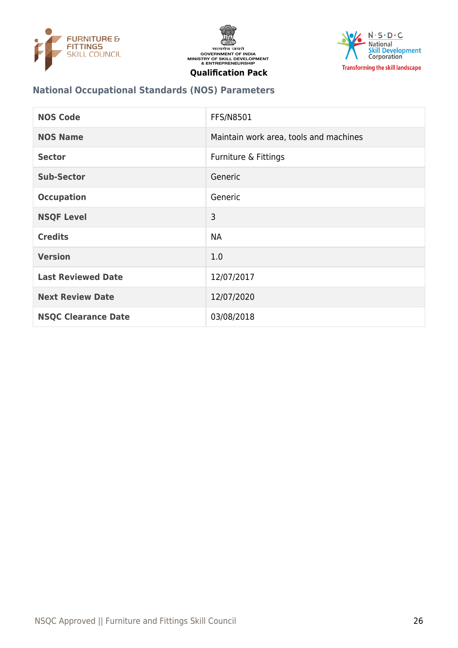





## **National Occupational Standards (NOS) Parameters**

| <b>NOS Code</b>            | <b>FFS/N8501</b>                       |
|----------------------------|----------------------------------------|
| <b>NOS Name</b>            | Maintain work area, tools and machines |
| <b>Sector</b>              | Furniture & Fittings                   |
| <b>Sub-Sector</b>          | Generic                                |
| <b>Occupation</b>          | Generic                                |
| <b>NSQF Level</b>          | 3                                      |
| <b>Credits</b>             | <b>NA</b>                              |
| <b>Version</b>             | 1.0                                    |
| <b>Last Reviewed Date</b>  | 12/07/2017                             |
| <b>Next Review Date</b>    | 12/07/2020                             |
| <b>NSQC Clearance Date</b> | 03/08/2018                             |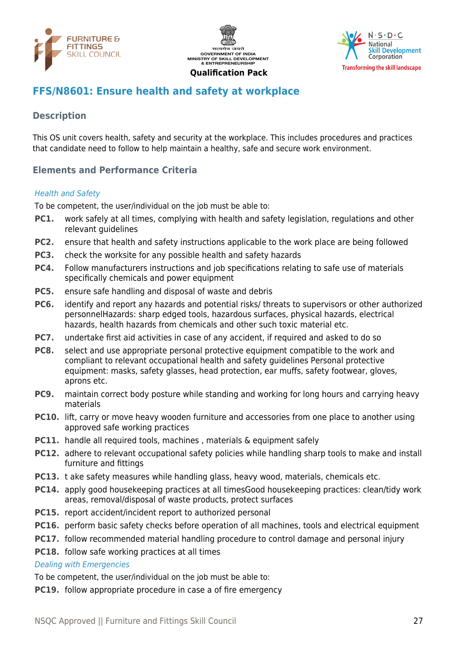





## <span id="page-26-0"></span>**FFS/N8601: Ensure health and safety at workplace**

## **Description**

This OS unit covers health, safety and security at the workplace. This includes procedures and practices that candidate need to follow to help maintain a healthy, safe and secure work environment.

## **Elements and Performance Criteria**

#### Health and Safety

To be competent, the user/individual on the job must be able to:

- **PC1.** work safely at all times, complying with health and safety legislation, regulations and other relevant guidelines
- **PC2.** ensure that health and safety instructions applicable to the work place are being followed
- **PC3.** check the worksite for any possible health and safety hazards
- **PC4.** Follow manufacturers instructions and job specifications relating to safe use of materials specifically chemicals and power equipment
- **PC5.** ensure safe handling and disposal of waste and debris
- **PC6.** identify and report any hazards and potential risks/ threats to supervisors or other authorized personnelHazards: sharp edged tools, hazardous surfaces, physical hazards, electrical hazards, health hazards from chemicals and other such toxic material etc.
- **PC7.** undertake first aid activities in case of any accident, if required and asked to do so
- **PC8.** select and use appropriate personal protective equipment compatible to the work and compliant to relevant occupational health and safety guidelines Personal protective equipment: masks, safety glasses, head protection, ear muffs, safety footwear, gloves, aprons etc.
- **PC9.** maintain correct body posture while standing and working for long hours and carrying heavy materials
- **PC10.** lift, carry or move heavy wooden furniture and accessories from one place to another using approved safe working practices
- **PC11.** handle all required tools, machines, materials & equipment safely
- **PC12.** adhere to relevant occupational safety policies while handling sharp tools to make and install furniture and fittings
- **PC13.** t ake safety measures while handling glass, heavy wood, materials, chemicals etc.
- **PC14.** apply good housekeeping practices at all timesGood housekeeping practices: clean/tidy work areas, removal/disposal of waste products, protect surfaces
- **PC15.** report accident/incident report to authorized personal
- **PC16.** perform basic safety checks before operation of all machines, tools and electrical equipment
- **PC17.** follow recommended material handling procedure to control damage and personal injury
- **PC18.** follow safe working practices at all times

#### Dealing with Emergencies

To be competent, the user/individual on the job must be able to:

**PC19.** follow appropriate procedure in case a of fire emergency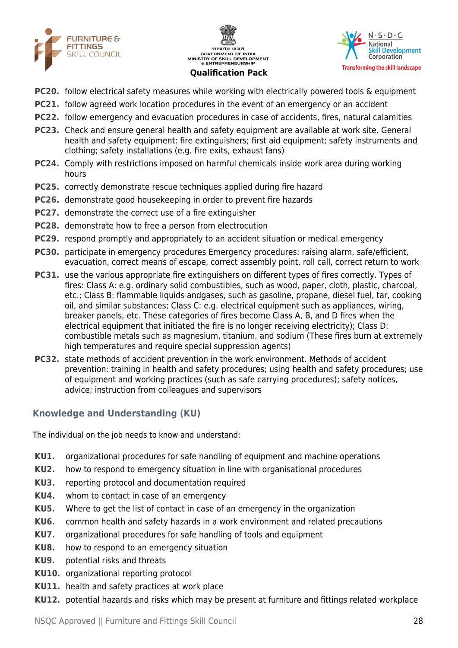





- **PC20.** follow electrical safety measures while working with electrically powered tools & equipment
- **PC21.** follow agreed work location procedures in the event of an emergency or an accident
- **PC22.** follow emergency and evacuation procedures in case of accidents, fires, natural calamities
- **PC23.** Check and ensure general health and safety equipment are available at work site. General health and safety equipment: fire extinguishers; first aid equipment; safety instruments and clothing; safety installations (e.g. fire exits, exhaust fans)
- **PC24.** Comply with restrictions imposed on harmful chemicals inside work area during working hours
- **PC25.** correctly demonstrate rescue techniques applied during fire hazard
- **PC26.** demonstrate good housekeeping in order to prevent fire hazards
- **PC27.** demonstrate the correct use of a fire extinguisher
- **PC28.** demonstrate how to free a person from electrocution
- **PC29.** respond promptly and appropriately to an accident situation or medical emergency
- **PC30.** participate in emergency procedures Emergency procedures: raising alarm, safe/efficient, evacuation, correct means of escape, correct assembly point, roll call, correct return to work
- **PC31.** use the various appropriate fire extinguishers on different types of fires correctly. Types of fires: Class A: e.g. ordinary solid combustibles, such as wood, paper, cloth, plastic, charcoal, etc.; Class B: flammable liquids andgases, such as gasoline, propane, diesel fuel, tar, cooking oil, and similar substances; Class C: e.g. electrical equipment such as appliances, wiring, breaker panels, etc. These categories of fires become Class A, B, and D fires when the electrical equipment that initiated the fire is no longer receiving electricity); Class D: combustible metals such as magnesium, titanium, and sodium (These fires burn at extremely high temperatures and require special suppression agents)
- **PC32.** state methods of accident prevention in the work environment. Methods of accident prevention: training in health and safety procedures; using health and safety procedures; use of equipment and working practices (such as safe carrying procedures); safety notices, advice; instruction from colleagues and supervisors

## **Knowledge and Understanding (KU)**

The individual on the job needs to know and understand:

- **KU1.** organizational procedures for safe handling of equipment and machine operations
- **KU2.** how to respond to emergency situation in line with organisational procedures
- **KU3.** reporting protocol and documentation required
- **KU4.** whom to contact in case of an emergency
- **KU5.** Where to get the list of contact in case of an emergency in the organization
- **KU6.** common health and safety hazards in a work environment and related precautions
- **KU7.** organizational procedures for safe handling of tools and equipment
- **KU8.** how to respond to an emergency situation
- **KU9.** potential risks and threats
- **KU10.** organizational reporting protocol
- **KU11.** health and safety practices at work place
- **KU12.** potential hazards and risks which may be present at furniture and fittings related workplace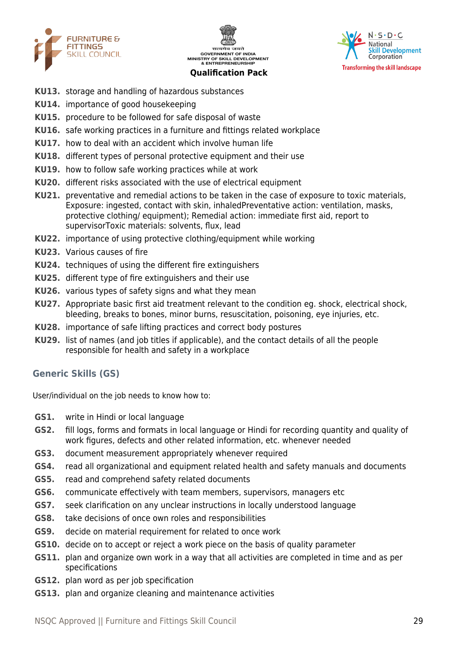





- **KU13.** storage and handling of hazardous substances
- **KU14.** importance of good housekeeping
- **KU15.** procedure to be followed for safe disposal of waste
- **KU16.** safe working practices in a furniture and fittings related workplace
- **KU17.** how to deal with an accident which involve human life
- **KU18.** different types of personal protective equipment and their use
- **KU19.** how to follow safe working practices while at work
- **KU20.** different risks associated with the use of electrical equipment
- **KU21.** preventative and remedial actions to be taken in the case of exposure to toxic materials, Exposure: ingested, contact with skin, inhaledPreventative action: ventilation, masks, protective clothing/ equipment); Remedial action: immediate first aid, report to supervisorToxic materials: solvents, flux, lead
- **KU22.** importance of using protective clothing/equipment while working
- **KU23.** Various causes of fire
- **KU24.** techniques of using the different fire extinguishers
- **KU25.** different type of fire extinguishers and their use
- **KU26.** various types of safety signs and what they mean
- **KU27.** Appropriate basic first aid treatment relevant to the condition eg. shock, electrical shock, bleeding, breaks to bones, minor burns, resuscitation, poisoning, eye injuries, etc.
- **KU28.** importance of safe lifting practices and correct body postures
- **KU29.** list of names (and job titles if applicable), and the contact details of all the people responsible for health and safety in a workplace

#### **Generic Skills (GS)**

User/individual on the job needs to know how to:

- **GS1.** write in Hindi or local language
- **GS2.** fill logs, forms and formats in local language or Hindi for recording quantity and quality of work figures, defects and other related information, etc. whenever needed
- **GS3.** document measurement appropriately whenever required
- **GS4.** read all organizational and equipment related health and safety manuals and documents
- **GS5.** read and comprehend safety related documents
- **GS6.** communicate effectively with team members, supervisors, managers etc
- **GS7.** seek clarification on any unclear instructions in locally understood language
- **GS8.** take decisions of once own roles and responsibilities
- **GS9.** decide on material requirement for related to once work
- **GS10.** decide on to accept or reject a work piece on the basis of quality parameter
- **GS11.** plan and organize own work in a way that all activities are completed in time and as per specifications
- **GS12.** plan word as per job specification
- **GS13.** plan and organize cleaning and maintenance activities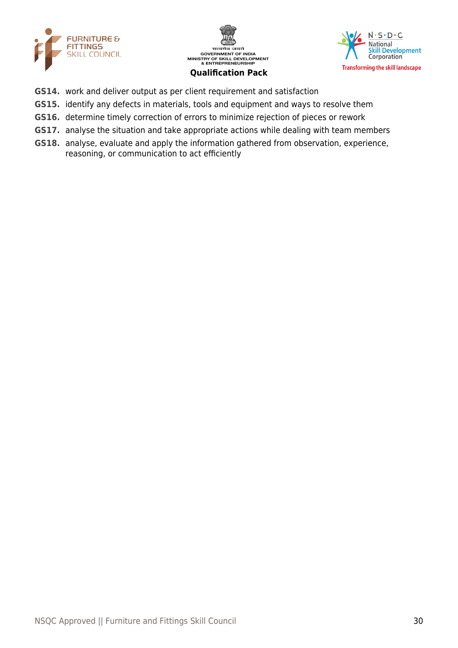





- **GS14.** work and deliver output as per client requirement and satisfaction
- **GS15.** identify any defects in materials, tools and equipment and ways to resolve them
- **GS16.** determine timely correction of errors to minimize rejection of pieces or rework
- **GS17.** analyse the situation and take appropriate actions while dealing with team members
- **GS18.** analyse, evaluate and apply the information gathered from observation, experience, reasoning, or communication to act efficiently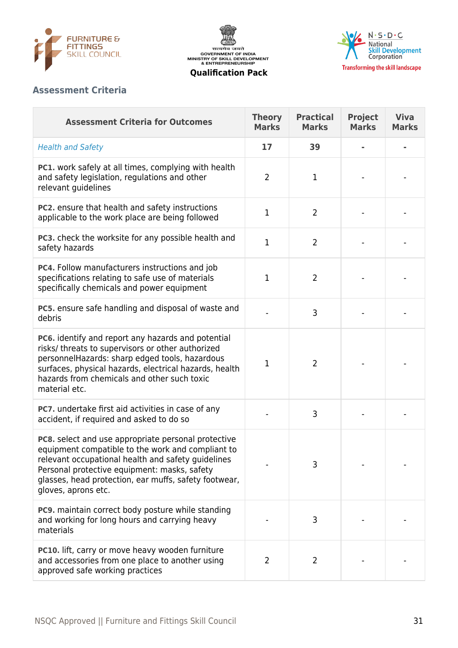





## **Assessment Criteria**

| <b>Assessment Criteria for Outcomes</b>                                                                                                                                                                                                                                                        | <b>Theory</b><br><b>Marks</b> | <b>Practical</b><br><b>Marks</b> | <b>Project</b><br><b>Marks</b> | <b>Viva</b><br><b>Marks</b> |
|------------------------------------------------------------------------------------------------------------------------------------------------------------------------------------------------------------------------------------------------------------------------------------------------|-------------------------------|----------------------------------|--------------------------------|-----------------------------|
| <b>Health and Safety</b>                                                                                                                                                                                                                                                                       | 17                            | 39                               |                                |                             |
| <b>PC1.</b> work safely at all times, complying with health<br>and safety legislation, regulations and other<br>relevant guidelines                                                                                                                                                            | $\overline{2}$                | 1                                |                                |                             |
| PC2. ensure that health and safety instructions<br>applicable to the work place are being followed                                                                                                                                                                                             | $\mathbf 1$                   | $\overline{2}$                   |                                |                             |
| PC3. check the worksite for any possible health and<br>safety hazards                                                                                                                                                                                                                          | $\mathbf{1}$                  | $\overline{2}$                   |                                |                             |
| PC4. Follow manufacturers instructions and job<br>specifications relating to safe use of materials<br>specifically chemicals and power equipment                                                                                                                                               | $\mathbf{1}$                  | $\overline{2}$                   |                                |                             |
| PC5. ensure safe handling and disposal of waste and<br>debris                                                                                                                                                                                                                                  |                               | 3                                |                                |                             |
| PC6. identify and report any hazards and potential<br>risks/ threats to supervisors or other authorized<br>personnelHazards: sharp edged tools, hazardous<br>surfaces, physical hazards, electrical hazards, health<br>hazards from chemicals and other such toxic<br>material etc.            | $\mathbf 1$                   | $\overline{2}$                   |                                |                             |
| PC7. undertake first aid activities in case of any<br>accident, if required and asked to do so                                                                                                                                                                                                 |                               | 3                                |                                |                             |
| PC8. select and use appropriate personal protective<br>equipment compatible to the work and compliant to<br>relevant occupational health and safety quidelines<br>Personal protective equipment: masks, safety<br>glasses, head protection, ear muffs, safety footwear,<br>gloves, aprons etc. |                               | 3                                |                                |                             |
| PC9. maintain correct body posture while standing<br>and working for long hours and carrying heavy<br>materials                                                                                                                                                                                |                               | 3                                |                                |                             |
| PC10. lift, carry or move heavy wooden furniture<br>and accessories from one place to another using<br>approved safe working practices                                                                                                                                                         | $\overline{2}$                | 2                                |                                |                             |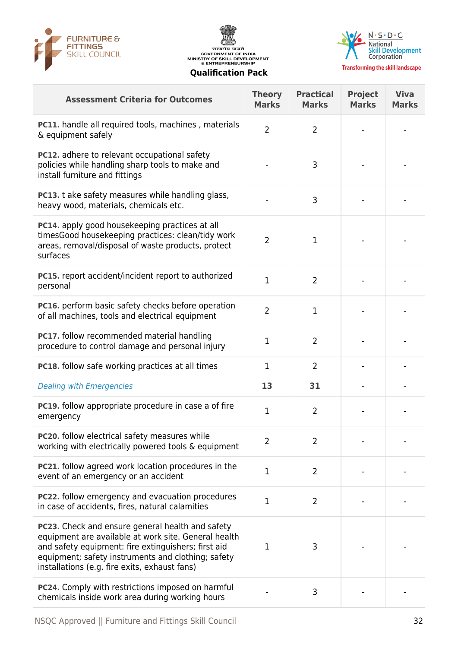





| <b>Assessment Criteria for Outcomes</b>                                                                                                                                                                                                                                | <b>Theory</b><br><b>Marks</b> | <b>Practical</b><br><b>Marks</b> | <b>Project</b><br><b>Marks</b> | <b>Viva</b><br><b>Marks</b> |
|------------------------------------------------------------------------------------------------------------------------------------------------------------------------------------------------------------------------------------------------------------------------|-------------------------------|----------------------------------|--------------------------------|-----------------------------|
| <b>PC11.</b> handle all required tools, machines, materials<br>& equipment safely                                                                                                                                                                                      | $\overline{2}$                | $\overline{2}$                   |                                |                             |
| <b>PC12.</b> adhere to relevant occupational safety<br>policies while handling sharp tools to make and<br>install furniture and fittings                                                                                                                               |                               | 3                                |                                |                             |
| PC13. t ake safety measures while handling glass,<br>heavy wood, materials, chemicals etc.                                                                                                                                                                             |                               | 3                                |                                |                             |
| PC14. apply good housekeeping practices at all<br>timesGood housekeeping practices: clean/tidy work<br>areas, removal/disposal of waste products, protect<br>surfaces                                                                                                  | $\overline{2}$                | 1                                |                                |                             |
| PC15. report accident/incident report to authorized<br>personal                                                                                                                                                                                                        | $\mathbf{1}$                  | $\overline{2}$                   |                                |                             |
| PC16. perform basic safety checks before operation<br>of all machines, tools and electrical equipment                                                                                                                                                                  | $\overline{2}$                | $\mathbf{1}$                     |                                |                             |
| PC17. follow recommended material handling<br>procedure to control damage and personal injury                                                                                                                                                                          | 1                             | $\overline{2}$                   |                                |                             |
| <b>PC18.</b> follow safe working practices at all times                                                                                                                                                                                                                | 1                             | 2                                |                                |                             |
| <b>Dealing with Emergencies</b>                                                                                                                                                                                                                                        | 13                            | 31                               |                                |                             |
| PC19. follow appropriate procedure in case a of fire<br>emergency                                                                                                                                                                                                      | $\mathbf 1$                   | $\overline{2}$                   |                                |                             |
| PC20. follow electrical safety measures while<br>working with electrically powered tools & equipment                                                                                                                                                                   | $\overline{2}$                | $\overline{2}$                   |                                |                             |
| <b>PC21.</b> follow agreed work location procedures in the<br>event of an emergency or an accident                                                                                                                                                                     | $\mathbf 1$                   | $\overline{2}$                   |                                |                             |
| <b>PC22.</b> follow emergency and evacuation procedures<br>in case of accidents, fires, natural calamities                                                                                                                                                             | $\mathbf{1}$                  | $\overline{2}$                   |                                |                             |
| PC23. Check and ensure general health and safety<br>equipment are available at work site. General health<br>and safety equipment: fire extinguishers; first aid<br>equipment; safety instruments and clothing; safety<br>installations (e.g. fire exits, exhaust fans) | 1                             | 3                                |                                |                             |
| PC24. Comply with restrictions imposed on harmful<br>chemicals inside work area during working hours                                                                                                                                                                   |                               | 3                                |                                |                             |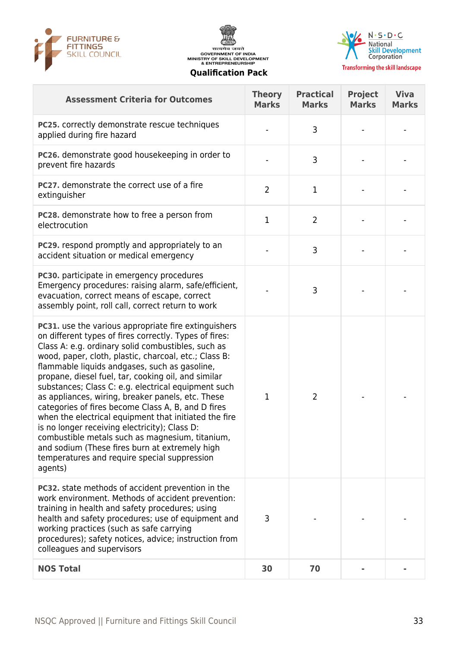





**Transforming the skill landscape** 

| <b>Assessment Criteria for Outcomes</b>                                                                                                                                                                                                                                                                                                                                                                                                                                                                                                                                                                                                                                                                                                                                           | <b>Theory</b><br><b>Marks</b> | <b>Practical</b><br><b>Marks</b> | Project<br><b>Marks</b> | <b>Viva</b><br><b>Marks</b> |
|-----------------------------------------------------------------------------------------------------------------------------------------------------------------------------------------------------------------------------------------------------------------------------------------------------------------------------------------------------------------------------------------------------------------------------------------------------------------------------------------------------------------------------------------------------------------------------------------------------------------------------------------------------------------------------------------------------------------------------------------------------------------------------------|-------------------------------|----------------------------------|-------------------------|-----------------------------|
| PC25. correctly demonstrate rescue techniques<br>applied during fire hazard                                                                                                                                                                                                                                                                                                                                                                                                                                                                                                                                                                                                                                                                                                       |                               | 3                                |                         |                             |
| PC26. demonstrate good housekeeping in order to<br>prevent fire hazards                                                                                                                                                                                                                                                                                                                                                                                                                                                                                                                                                                                                                                                                                                           |                               | 3                                |                         |                             |
| PC27. demonstrate the correct use of a fire<br>extinguisher                                                                                                                                                                                                                                                                                                                                                                                                                                                                                                                                                                                                                                                                                                                       | $\overline{2}$                | 1                                |                         |                             |
| <b>PC28.</b> demonstrate how to free a person from<br>electrocution                                                                                                                                                                                                                                                                                                                                                                                                                                                                                                                                                                                                                                                                                                               | $\mathbf 1$                   | $\overline{2}$                   |                         |                             |
| <b>PC29.</b> respond promptly and appropriately to an<br>accident situation or medical emergency                                                                                                                                                                                                                                                                                                                                                                                                                                                                                                                                                                                                                                                                                  |                               | 3                                |                         |                             |
| <b>PC30.</b> participate in emergency procedures<br>Emergency procedures: raising alarm, safe/efficient,<br>evacuation, correct means of escape, correct<br>assembly point, roll call, correct return to work                                                                                                                                                                                                                                                                                                                                                                                                                                                                                                                                                                     |                               | 3                                |                         |                             |
| PC31. use the various appropriate fire extinguishers<br>on different types of fires correctly. Types of fires:<br>Class A: e.g. ordinary solid combustibles, such as<br>wood, paper, cloth, plastic, charcoal, etc.; Class B:<br>flammable liquids andgases, such as gasoline,<br>propane, diesel fuel, tar, cooking oil, and similar<br>substances; Class C: e.g. electrical equipment such<br>as appliances, wiring, breaker panels, etc. These<br>categories of fires become Class A, B, and D fires<br>when the electrical equipment that initiated the fire<br>is no longer receiving electricity); Class D:<br>combustible metals such as magnesium, titanium,<br>and sodium (These fires burn at extremely high<br>temperatures and require special suppression<br>agents) | 1                             | $\overline{2}$                   |                         |                             |
| <b>PC32.</b> state methods of accident prevention in the<br>work environment. Methods of accident prevention:<br>training in health and safety procedures; using<br>health and safety procedures; use of equipment and<br>working practices (such as safe carrying<br>procedures); safety notices, advice; instruction from<br>colleagues and supervisors                                                                                                                                                                                                                                                                                                                                                                                                                         | 3                             |                                  |                         |                             |
| <b>NOS Total</b>                                                                                                                                                                                                                                                                                                                                                                                                                                                                                                                                                                                                                                                                                                                                                                  | 30                            | 70                               |                         |                             |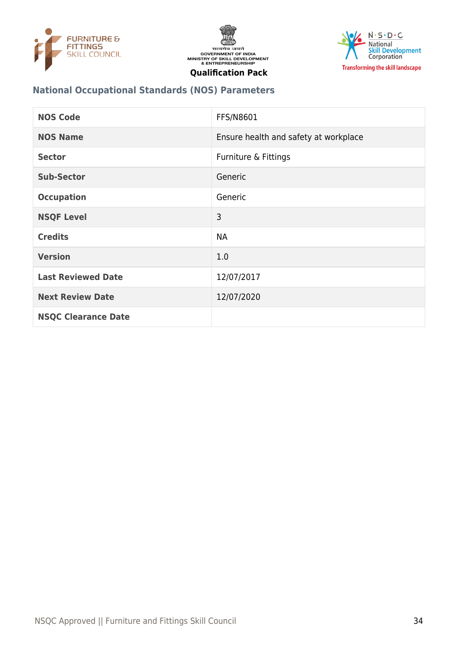





## **National Occupational Standards (NOS) Parameters**

| <b>NOS Code</b>            | FFS/N8601                             |
|----------------------------|---------------------------------------|
| <b>NOS Name</b>            | Ensure health and safety at workplace |
| <b>Sector</b>              | Furniture & Fittings                  |
| <b>Sub-Sector</b>          | Generic                               |
| <b>Occupation</b>          | Generic                               |
| <b>NSQF Level</b>          | 3                                     |
| <b>Credits</b>             | <b>NA</b>                             |
| <b>Version</b>             | 1.0                                   |
| <b>Last Reviewed Date</b>  | 12/07/2017                            |
| <b>Next Review Date</b>    | 12/07/2020                            |
| <b>NSQC Clearance Date</b> |                                       |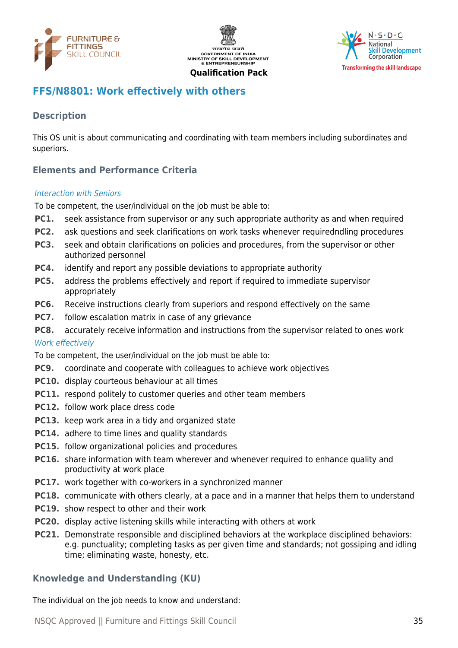





## <span id="page-34-0"></span>**FFS/N8801: Work effectively with others**

## **Description**

This OS unit is about communicating and coordinating with team members including subordinates and superiors.

## **Elements and Performance Criteria**

#### Interaction with Seniors

To be competent, the user/individual on the job must be able to:

- **PC1.** seek assistance from supervisor or any such appropriate authority as and when required
- **PC2.** ask questions and seek clarifications on work tasks whenever requiredndling procedures
- **PC3.** seek and obtain clarifications on policies and procedures, from the supervisor or other authorized personnel
- **PC4.** identify and report any possible deviations to appropriate authority
- **PC5.** address the problems effectively and report if required to immediate supervisor appropriately
- **PC6.** Receive instructions clearly from superiors and respond effectively on the same
- **PC7.** follow escalation matrix in case of any grievance
- **PC8.** accurately receive information and instructions from the supervisor related to ones work

#### Work effectively

To be competent, the user/individual on the job must be able to:

- **PC9.** coordinate and cooperate with colleagues to achieve work objectives
- **PC10.** display courteous behaviour at all times
- **PC11.** respond politely to customer queries and other team members
- **PC12.** follow work place dress code
- **PC13.** keep work area in a tidy and organized state
- **PC14.** adhere to time lines and quality standards
- **PC15.** follow organizational policies and procedures
- **PC16.** share information with team wherever and whenever required to enhance quality and productivity at work place
- **PC17.** work together with co-workers in a synchronized manner
- **PC18.** communicate with others clearly, at a pace and in a manner that helps them to understand
- **PC19.** show respect to other and their work
- **PC20.** display active listening skills while interacting with others at work
- **PC21.** Demonstrate responsible and disciplined behaviors at the workplace disciplined behaviors: e.g. punctuality; completing tasks as per given time and standards; not gossiping and idling time; eliminating waste, honesty, etc.

#### **Knowledge and Understanding (KU)**

The individual on the job needs to know and understand: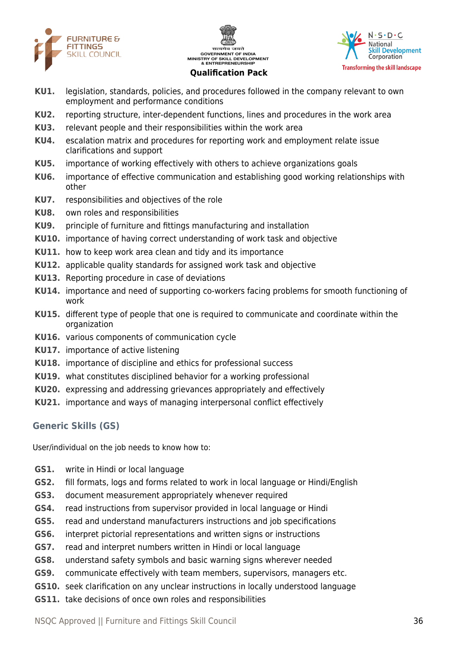





- **KU1.** legislation, standards, policies, and procedures followed in the company relevant to own employment and performance conditions
- **KU2.** reporting structure, inter-dependent functions, lines and procedures in the work area
- **KU3.** relevant people and their responsibilities within the work area
- **KU4.** escalation matrix and procedures for reporting work and employment relate issue clarifications and support
- **KU5.** importance of working effectively with others to achieve organizations goals
- **KU6.** importance of effective communication and establishing good working relationships with other
- **KU7.** responsibilities and objectives of the role
- **KU8.** own roles and responsibilities
- **KU9.** principle of furniture and fittings manufacturing and installation
- **KU10.** importance of having correct understanding of work task and objective
- **KU11.** how to keep work area clean and tidy and its importance
- **KU12.** applicable quality standards for assigned work task and objective
- **KU13.** Reporting procedure in case of deviations
- **KU14.** importance and need of supporting co-workers facing problems for smooth functioning of work
- **KU15.** different type of people that one is required to communicate and coordinate within the organization
- **KU16.** various components of communication cycle
- **KU17.** importance of active listening
- **KU18.** importance of discipline and ethics for professional success
- **KU19.** what constitutes disciplined behavior for a working professional
- **KU20.** expressing and addressing grievances appropriately and effectively
- **KU21.** importance and ways of managing interpersonal conflict effectively

## **Generic Skills (GS)**

User/individual on the job needs to know how to:

- **GS1.** write in Hindi or local language
- **GS2.** fill formats, logs and forms related to work in local language or Hindi/English
- **GS3.** document measurement appropriately whenever required
- **GS4.** read instructions from supervisor provided in local language or Hindi
- **GS5.** read and understand manufacturers instructions and job specifications
- **GS6.** interpret pictorial representations and written signs or instructions
- **GS7.** read and interpret numbers written in Hindi or local language
- **GS8.** understand safety symbols and basic warning signs wherever needed
- **GS9.** communicate effectively with team members, supervisors, managers etc.
- **GS10.** seek clarification on any unclear instructions in locally understood language
- **GS11.** take decisions of once own roles and responsibilities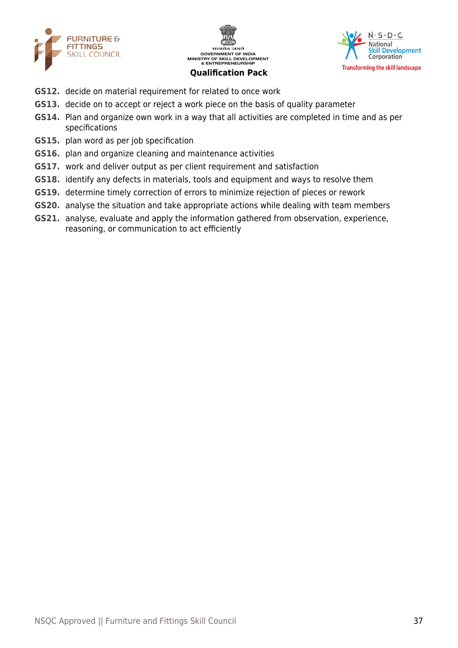





- **GS12.** decide on material requirement for related to once work
- **GS13.** decide on to accept or reject a work piece on the basis of quality parameter
- **GS14.** Plan and organize own work in a way that all activities are completed in time and as per specifications
- **GS15.** plan word as per job specification
- **GS16.** plan and organize cleaning and maintenance activities
- **GS17.** work and deliver output as per client requirement and satisfaction
- **GS18.** identify any defects in materials, tools and equipment and ways to resolve them
- **GS19.** determine timely correction of errors to minimize rejection of pieces or rework
- **GS20.** analyse the situation and take appropriate actions while dealing with team members
- **GS21.** analyse, evaluate and apply the information gathered from observation, experience, reasoning, or communication to act efficiently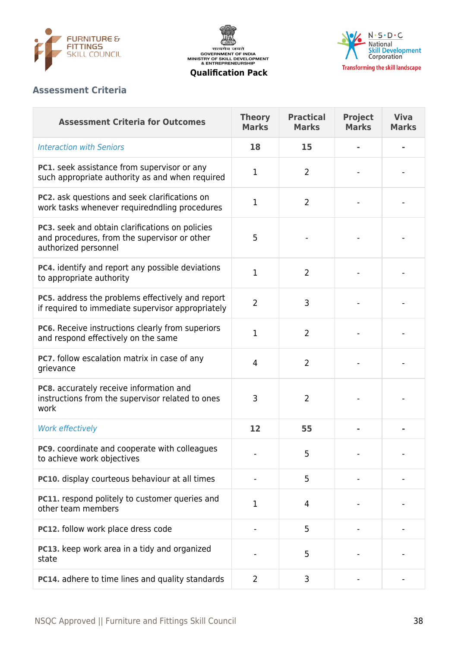

सत्यमेव जयते<br>GOVERNMENT OF INDIA<br>MINISTRY OF SKILL DEVELOPMENT<br>& ENTREPRENEURSHIP



**Qualification Pack**

## **Assessment Criteria**

| <b>Assessment Criteria for Outcomes</b>                                                                                 | <b>Theory</b><br><b>Marks</b> | <b>Practical</b><br><b>Marks</b> | <b>Project</b><br><b>Marks</b> | <b>Viva</b><br><b>Marks</b> |
|-------------------------------------------------------------------------------------------------------------------------|-------------------------------|----------------------------------|--------------------------------|-----------------------------|
| <b>Interaction with Seniors</b>                                                                                         | 18                            | 15                               |                                |                             |
| PC1. seek assistance from supervisor or any<br>such appropriate authority as and when required                          | 1                             | $\overline{2}$                   |                                |                             |
| PC2. ask questions and seek clarifications on<br>work tasks whenever requiredndling procedures                          | 1                             | $\overline{2}$                   |                                |                             |
| PC3. seek and obtain clarifications on policies<br>and procedures, from the supervisor or other<br>authorized personnel | 5                             |                                  |                                |                             |
| PC4. identify and report any possible deviations<br>to appropriate authority                                            | 1                             | $\overline{2}$                   |                                |                             |
| PC5. address the problems effectively and report<br>if required to immediate supervisor appropriately                   | $\overline{2}$                | 3                                |                                |                             |
| PC6. Receive instructions clearly from superiors<br>and respond effectively on the same                                 | 1                             | $\overline{2}$                   |                                |                             |
| PC7. follow escalation matrix in case of any<br>grievance                                                               | $\overline{4}$                | $\overline{2}$                   |                                |                             |
| PC8. accurately receive information and<br>instructions from the supervisor related to ones<br>work                     | 3                             | $\overline{2}$                   |                                |                             |
| Work effectively                                                                                                        | 12                            | 55                               |                                |                             |
| PC9. coordinate and cooperate with colleagues<br>to achieve work objectives                                             |                               | 5                                |                                |                             |
| PC10. display courteous behaviour at all times                                                                          |                               | 5                                |                                |                             |
| PC11. respond politely to customer queries and<br>other team members                                                    | 1                             | 4                                |                                |                             |
| PC12. follow work place dress code                                                                                      |                               | 5                                |                                |                             |
| PC13. keep work area in a tidy and organized<br>state                                                                   |                               | 5                                |                                |                             |
| PC14. adhere to time lines and quality standards                                                                        | $\overline{2}$                | 3                                |                                |                             |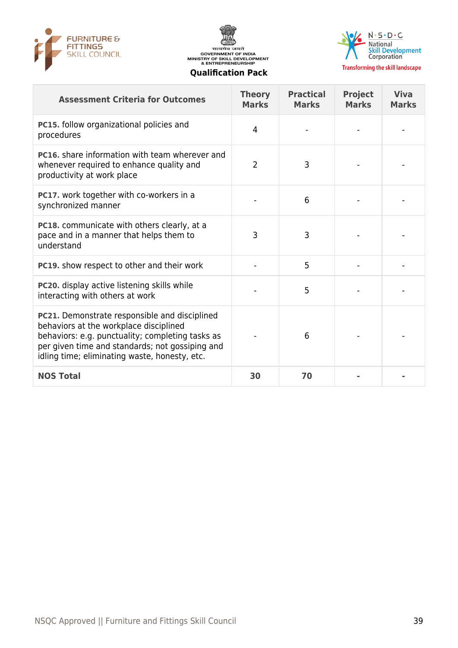





**Transforming the skill landscape** 

| <b>Assessment Criteria for Outcomes</b>                                                                                                                                                                                                         | <b>Theory</b><br><b>Marks</b> | <b>Practical</b><br><b>Marks</b> | <b>Project</b><br><b>Marks</b> | <b>Viva</b><br><b>Marks</b> |
|-------------------------------------------------------------------------------------------------------------------------------------------------------------------------------------------------------------------------------------------------|-------------------------------|----------------------------------|--------------------------------|-----------------------------|
| PC15. follow organizational policies and<br>procedures                                                                                                                                                                                          | 4                             |                                  |                                |                             |
| <b>PC16.</b> share information with team wherever and<br>whenever required to enhance quality and<br>productivity at work place                                                                                                                 | $\overline{2}$                | 3                                |                                |                             |
| PC17. work together with co-workers in a<br>synchronized manner                                                                                                                                                                                 |                               | 6                                |                                |                             |
| PC18. communicate with others clearly, at a<br>pace and in a manner that helps them to<br>understand                                                                                                                                            | 3                             | 3                                |                                |                             |
| PC19. show respect to other and their work                                                                                                                                                                                                      |                               | 5                                |                                |                             |
| PC20. display active listening skills while<br>interacting with others at work                                                                                                                                                                  |                               | 5                                |                                |                             |
| PC21. Demonstrate responsible and disciplined<br>behaviors at the workplace disciplined<br>behaviors: e.g. punctuality; completing tasks as<br>per given time and standards; not gossiping and<br>idling time; eliminating waste, honesty, etc. |                               | 6                                |                                |                             |
| <b>NOS Total</b>                                                                                                                                                                                                                                | 30                            | 70                               |                                |                             |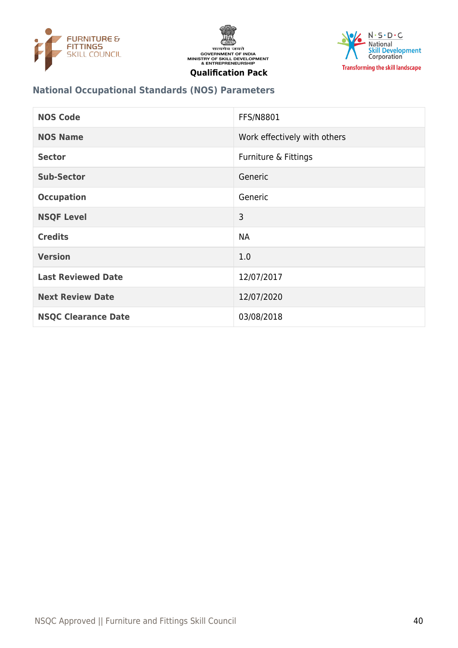





## **National Occupational Standards (NOS) Parameters**

| <b>NOS Code</b>            | <b>FFS/N8801</b>             |
|----------------------------|------------------------------|
| <b>NOS Name</b>            | Work effectively with others |
| <b>Sector</b>              | Furniture & Fittings         |
| <b>Sub-Sector</b>          | Generic                      |
| <b>Occupation</b>          | Generic                      |
| <b>NSQF Level</b>          | 3                            |
| <b>Credits</b>             | <b>NA</b>                    |
| <b>Version</b>             | 1.0                          |
| <b>Last Reviewed Date</b>  | 12/07/2017                   |
| <b>Next Review Date</b>    | 12/07/2020                   |
| <b>NSQC Clearance Date</b> | 03/08/2018                   |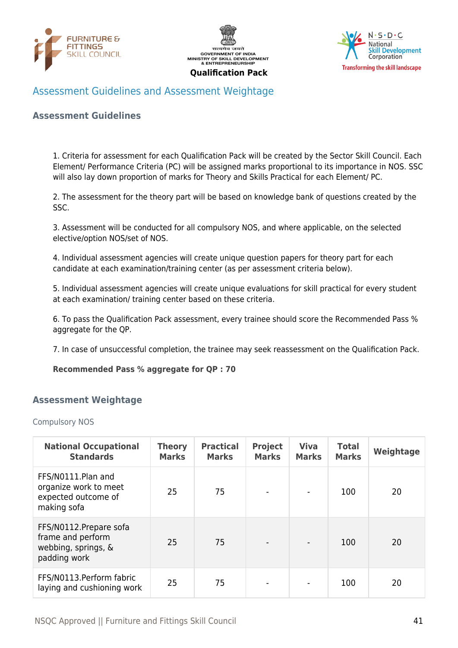





## <span id="page-40-0"></span>Assessment Guidelines and Assessment Weightage

#### **Assessment Guidelines**

1. Criteria for assessment for each Qualification Pack will be created by the Sector Skill Council. Each Element/ Performance Criteria (PC) will be assigned marks proportional to its importance in NOS. SSC will also lay down proportion of marks for Theory and Skills Practical for each Element/ PC.

2. The assessment for the theory part will be based on knowledge bank of questions created by the SSC.

3. Assessment will be conducted for all compulsory NOS, and where applicable, on the selected elective/option NOS/set of NOS.

4. Individual assessment agencies will create unique question papers for theory part for each candidate at each examination/training center (as per assessment criteria below).

5. Individual assessment agencies will create unique evaluations for skill practical for every student at each examination/ training center based on these criteria.

6. To pass the Qualification Pack assessment, every trainee should score the Recommended Pass % aggregate for the QP.

7. In case of unsuccessful completion, the trainee may seek reassessment on the Qualification Pack.

#### **Recommended Pass % aggregate for QP : 70**

#### <span id="page-40-1"></span>**Assessment Weightage**

Compulsory NOS

| <b>National Occupational</b><br><b>Standards</b>                                    | <b>Theory</b><br><b>Marks</b> | <b>Practical</b><br><b>Marks</b> | <b>Project</b><br><b>Marks</b> | <b>Viva</b><br><b>Marks</b> | <b>Total</b><br><b>Marks</b> | Weightage |
|-------------------------------------------------------------------------------------|-------------------------------|----------------------------------|--------------------------------|-----------------------------|------------------------------|-----------|
| FFS/N0111.Plan and<br>organize work to meet<br>expected outcome of<br>making sofa   | 25                            | 75                               |                                |                             | 100                          | 20        |
| FFS/N0112. Prepare sofa<br>frame and perform<br>webbing, springs, &<br>padding work | 25                            | 75                               | $\qquad \qquad \blacksquare$   | $\overline{\phantom{a}}$    | 100                          | 20        |
| FFS/N0113.Perform fabric<br>laying and cushioning work                              | 25                            | 75                               |                                |                             | 100                          | 20        |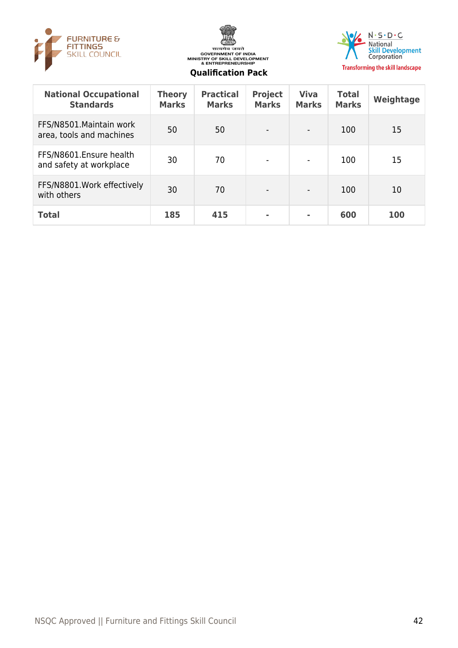





| <b>National Occupational</b><br><b>Standards</b>     | <b>Theory</b><br><b>Marks</b> | <b>Practical</b><br><b>Marks</b> | <b>Project</b><br><b>Marks</b> | <b>Viva</b><br><b>Marks</b> | <b>Total</b><br><b>Marks</b> | Weightage |
|------------------------------------------------------|-------------------------------|----------------------------------|--------------------------------|-----------------------------|------------------------------|-----------|
| FFS/N8501. Maintain work<br>area, tools and machines | 50                            | 50                               | $\overline{\phantom{a}}$       | $\blacksquare$              | 100                          | 15        |
| FFS/N8601.Ensure health<br>and safety at workplace   | 30                            | 70                               | $\overline{\phantom{a}}$       | $\overline{\phantom{a}}$    | 100                          | 15        |
| FFS/N8801. Work effectively<br>with others           | 30                            | 70                               | $\overline{\phantom{a}}$       | $\overline{\phantom{a}}$    | 100                          | 10        |
| <b>Total</b>                                         | 185                           | 415                              | ٠                              | ٠                           | 600                          | 100       |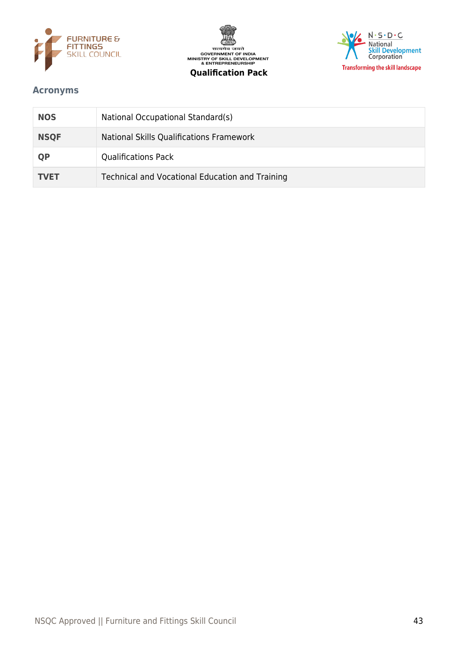





## <span id="page-42-0"></span>**Acronyms**

| <b>NOS</b>  | National Occupational Standard(s)               |
|-------------|-------------------------------------------------|
| <b>NSQF</b> | National Skills Qualifications Framework        |
| <b>QP</b>   | <b>Qualifications Pack</b>                      |
| <b>TVET</b> | Technical and Vocational Education and Training |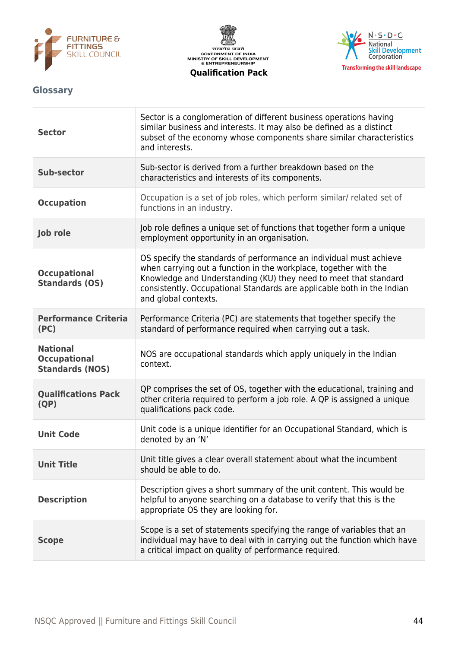





## <span id="page-43-0"></span>**Glossary**

| <b>Sector</b>                                                    | Sector is a conglomeration of different business operations having<br>similar business and interests. It may also be defined as a distinct<br>subset of the economy whose components share similar characteristics<br>and interests.                                                                         |
|------------------------------------------------------------------|--------------------------------------------------------------------------------------------------------------------------------------------------------------------------------------------------------------------------------------------------------------------------------------------------------------|
| <b>Sub-sector</b>                                                | Sub-sector is derived from a further breakdown based on the<br>characteristics and interests of its components.                                                                                                                                                                                              |
| <b>Occupation</b>                                                | Occupation is a set of job roles, which perform similar/ related set of<br>functions in an industry.                                                                                                                                                                                                         |
| Job role                                                         | Job role defines a unique set of functions that together form a unique<br>employment opportunity in an organisation.                                                                                                                                                                                         |
| <b>Occupational</b><br><b>Standards (OS)</b>                     | OS specify the standards of performance an individual must achieve<br>when carrying out a function in the workplace, together with the<br>Knowledge and Understanding (KU) they need to meet that standard<br>consistently. Occupational Standards are applicable both in the Indian<br>and global contexts. |
| <b>Performance Criteria</b><br>(PC)                              | Performance Criteria (PC) are statements that together specify the<br>standard of performance required when carrying out a task.                                                                                                                                                                             |
| <b>National</b><br><b>Occupational</b><br><b>Standards (NOS)</b> | NOS are occupational standards which apply uniquely in the Indian<br>context.                                                                                                                                                                                                                                |
| <b>Qualifications Pack</b><br>(QP)                               | QP comprises the set of OS, together with the educational, training and<br>other criteria required to perform a job role. A QP is assigned a unique<br>qualifications pack code.                                                                                                                             |
| <b>Unit Code</b>                                                 | Unit code is a unique identifier for an Occupational Standard, which is<br>denoted by an 'N'                                                                                                                                                                                                                 |
| <b>Unit Title</b>                                                | Unit title gives a clear overall statement about what the incumbent<br>should be able to do.                                                                                                                                                                                                                 |
| <b>Description</b>                                               | Description gives a short summary of the unit content. This would be<br>helpful to anyone searching on a database to verify that this is the<br>appropriate OS they are looking for.                                                                                                                         |
| <b>Scope</b>                                                     | Scope is a set of statements specifying the range of variables that an<br>individual may have to deal with in carrying out the function which have<br>a critical impact on quality of performance required.                                                                                                  |